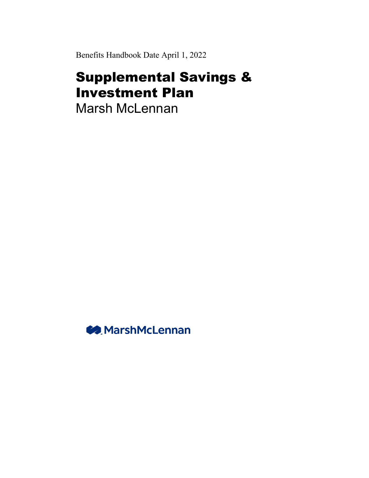Benefits Handbook Date April 1, 2022

# Supplemental Savings & Investment Plan

Marsh McLennan

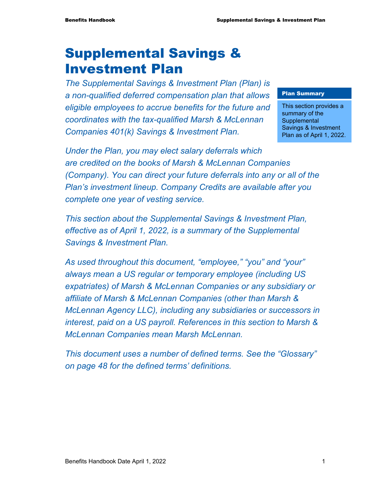# Supplemental Savings & Investment Plan

*The Supplemental Savings & Investment Plan (Plan) is a non-qualified deferred compensation plan that allows eligible employees to accrue benefits for the future and coordinates with the tax-qualified Marsh & McLennan Companies 401(k) Savings & Investment Plan.* 

#### Plan Summary

This section provides a summary of the **Supplemental** Savings & Investment Plan as of April 1, 2022.

*Under the Plan, you may elect salary deferrals which are credited on the books of Marsh & McLennan Companies (Company). You can direct your future deferrals into any or all of the Plan's investment lineup. Company Credits are available after you complete one year of vesting service.* 

*This section about the Supplemental Savings & Investment Plan, effective as of April 1, 2022, is a summary of the Supplemental Savings & Investment Plan.* 

*As used throughout this document, "employee," "you" and "your" always mean a US regular or temporary employee (including US expatriates) of Marsh & McLennan Companies or any subsidiary or affiliate of Marsh & McLennan Companies (other than Marsh & McLennan Agency LLC), including any subsidiaries or successors in interest, paid on a US payroll. References in this section to Marsh & McLennan Companies mean Marsh McLennan.* 

*This document uses a number of defined terms. See the "Glossary" on page 48 for the defined terms' definitions.*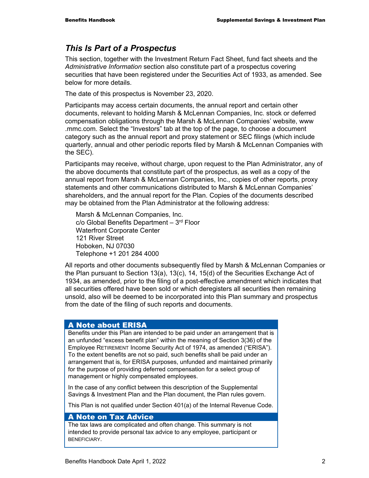## *This Is Part of a Prospectus*

This section, together with the Investment Return Fact Sheet, fund fact sheets and the *Administrative Information* section also constitute part of a prospectus covering securities that have been registered under the Securities Act of 1933, as amended. See below for more details.

The date of this prospectus is November 23, 2020.

Participants may access certain documents, the annual report and certain other documents, relevant to holding Marsh & McLennan Companies, Inc. stock or deferred compensation obligations through the Marsh & McLennan Companies' website, www .mmc.com. Select the "Investors" tab at the top of the page, to choose a document category such as the annual report and proxy statement or SEC filings (which include quarterly, annual and other periodic reports filed by Marsh & McLennan Companies with the SEC).

Participants may receive, without charge, upon request to the Plan Administrator, any of the above documents that constitute part of the prospectus, as well as a copy of the annual report from Marsh & McLennan Companies, Inc., copies of other reports, proxy statements and other communications distributed to Marsh & McLennan Companies' shareholders, and the annual report for the Plan. Copies of the documents described may be obtained from the Plan Administrator at the following address:

Marsh & McLennan Companies, Inc.  $c/o$  Global Benefits Department  $-3<sup>rd</sup>$  Floor Waterfront Corporate Center 121 River Street Hoboken, NJ 07030 Telephone +1 201 284 4000

All reports and other documents subsequently filed by Marsh & McLennan Companies or the Plan pursuant to Section 13(a), 13(c), 14, 15(d) of the Securities Exchange Act of 1934, as amended, prior to the filing of a post-effective amendment which indicates that all securities offered have been sold or which deregisters all securities then remaining unsold, also will be deemed to be incorporated into this Plan summary and prospectus from the date of the filing of such reports and documents.

#### A Note about ERISA

Benefits under this Plan are intended to be paid under an arrangement that is an unfunded "excess benefit plan" within the meaning of Section 3(36) of the Employee RETIREMENT Income Security Act of 1974, as amended ("ERISA"). To the extent benefits are not so paid, such benefits shall be paid under an arrangement that is, for ERISA purposes, unfunded and maintained primarily for the purpose of providing deferred compensation for a select group of management or highly compensated employees.

In the case of any conflict between this description of the Supplemental Savings & Investment Plan and the Plan document, the Plan rules govern.

This Plan is not qualified under Section 401(a) of the Internal Revenue Code.

#### A Note on Tax Advice

The tax laws are complicated and often change. This summary is not intended to provide personal tax advice to any employee, participant or BENEFICIARY.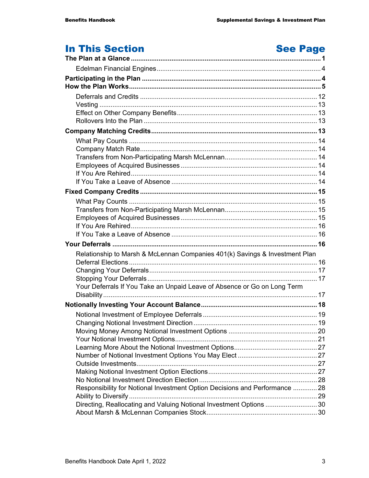# In This Section

# **See Page**

| Relationship to Marsh & McLennan Companies 401(k) Savings & Investment Plan |  |
|-----------------------------------------------------------------------------|--|
|                                                                             |  |
|                                                                             |  |
|                                                                             |  |
| Your Deferrals If You Take an Unpaid Leave of Absence or Go on Long Term    |  |
|                                                                             |  |
|                                                                             |  |
|                                                                             |  |
|                                                                             |  |
|                                                                             |  |
|                                                                             |  |
|                                                                             |  |
|                                                                             |  |
|                                                                             |  |
|                                                                             |  |
|                                                                             |  |
| Responsibility for Notional Investment Option Decisions and Performance  28 |  |
|                                                                             |  |
| Directing, Reallocating and Valuing Notional Investment Options  30         |  |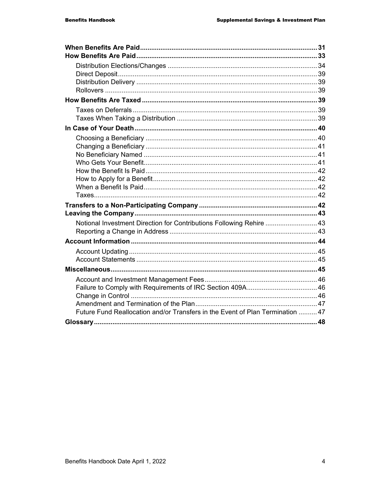| Notional Investment Direction for Contributions Following Rehire  43           |  |
|--------------------------------------------------------------------------------|--|
|                                                                                |  |
|                                                                                |  |
|                                                                                |  |
|                                                                                |  |
|                                                                                |  |
|                                                                                |  |
|                                                                                |  |
|                                                                                |  |
| Future Fund Reallocation and/or Transfers in the Event of Plan Termination  47 |  |
|                                                                                |  |
|                                                                                |  |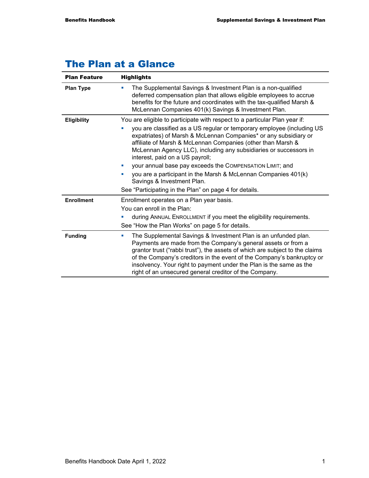## The Plan at a Glance

| <b>Plan Feature</b> | <b>Highlights</b>                                                                                                                                                                                                                                                                                                                                                                                                                                                                                                                                                      |  |  |  |
|---------------------|------------------------------------------------------------------------------------------------------------------------------------------------------------------------------------------------------------------------------------------------------------------------------------------------------------------------------------------------------------------------------------------------------------------------------------------------------------------------------------------------------------------------------------------------------------------------|--|--|--|
| <b>Plan Type</b>    | The Supplemental Savings & Investment Plan is a non-qualified<br>a.<br>deferred compensation plan that allows eligible employees to accrue<br>benefits for the future and coordinates with the tax-qualified Marsh &<br>McLennan Companies 401(k) Savings & Investment Plan.                                                                                                                                                                                                                                                                                           |  |  |  |
| <b>Eligibility</b>  | You are eligible to participate with respect to a particular Plan year if:<br>you are classified as a US regular or temporary employee (including US<br>expatriates) of Marsh & McLennan Companies* or any subsidiary or<br>affiliate of Marsh & McLennan Companies (other than Marsh &<br>McLennan Agency LLC), including any subsidiaries or successors in<br>interest, paid on a US payroll;<br>your annual base pay exceeds the COMPENSATION LIMIT; and<br>×<br>you are a participant in the Marsh & McLennan Companies 401(k)<br>u,<br>Savings & Investment Plan. |  |  |  |
| <b>Enrollment</b>   | See "Participating in the Plan" on page 4 for details.<br>Enrollment operates on a Plan year basis.<br>You can enroll in the Plan:<br>during ANNUAL ENROLLMENT if you meet the eligibility requirements.<br>See "How the Plan Works" on page 5 for details.                                                                                                                                                                                                                                                                                                            |  |  |  |
| <b>Funding</b>      | The Supplemental Savings & Investment Plan is an unfunded plan.<br>ш<br>Payments are made from the Company's general assets or from a<br>grantor trust ("rabbi trust"), the assets of which are subject to the claims<br>of the Company's creditors in the event of the Company's bankruptcy or<br>insolvency. Your right to payment under the Plan is the same as the<br>right of an unsecured general creditor of the Company.                                                                                                                                       |  |  |  |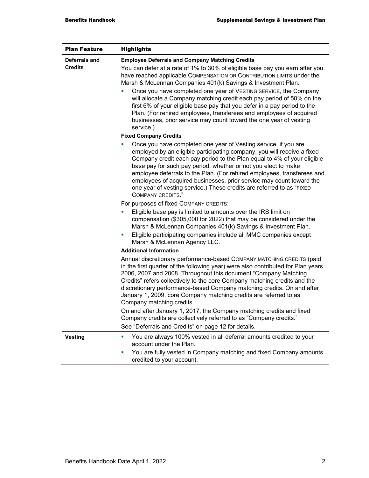| <b>Plan Feature</b>             | <b>Highlights</b>                                                                                                                                                                                                                                                                                                                                                                                                                                                                                                                             |  |  |  |
|---------------------------------|-----------------------------------------------------------------------------------------------------------------------------------------------------------------------------------------------------------------------------------------------------------------------------------------------------------------------------------------------------------------------------------------------------------------------------------------------------------------------------------------------------------------------------------------------|--|--|--|
| Deferrals and<br><b>Credits</b> | <b>Employee Deferrals and Company Matching Credits</b><br>You can defer at a rate of 1% to 30% of eligible base pay you earn after you<br>have reached applicable COMPENSATION OR CONTRIBUTION LIMITS under the<br>Marsh & McLennan Companies 401(k) Savings & Investment Plan.                                                                                                                                                                                                                                                               |  |  |  |
|                                 | Once you have completed one year of VESTING SERVICE, the Company<br>ш<br>will allocate a Company matching credit each pay period of 50% on the<br>first 6% of your eligible base pay that you defer in a pay period to the<br>Plan. (For rehired employees, transferees and employees of acquired<br>businesses, prior service may count toward the one year of vesting<br>service.)                                                                                                                                                          |  |  |  |
|                                 | <b>Fixed Company Credits</b>                                                                                                                                                                                                                                                                                                                                                                                                                                                                                                                  |  |  |  |
|                                 | Once you have completed one year of Vesting service, if you are<br>ш<br>employed by an eligible participating company, you will receive a fixed<br>Company credit each pay period to the Plan equal to 4% of your eligible<br>base pay for such pay period, whether or not you elect to make<br>employee deferrals to the Plan. (For rehired employees, transferees and<br>employees of acquired businesses, prior service may count toward the<br>one year of vesting service.) These credits are referred to as "FIXED<br>COMPANY CREDITS." |  |  |  |
|                                 | For purposes of fixed COMPANY CREDITS:                                                                                                                                                                                                                                                                                                                                                                                                                                                                                                        |  |  |  |
|                                 | Eligible base pay is limited to amounts over the IRS limit on<br>L.<br>compensation (\$305,000 for 2022) that may be considered under the<br>Marsh & McLennan Companies 401(k) Savings & Investment Plan.                                                                                                                                                                                                                                                                                                                                     |  |  |  |
|                                 | Eligible participating companies include all MMC companies except<br>ш<br>Marsh & McLennan Agency LLC.                                                                                                                                                                                                                                                                                                                                                                                                                                        |  |  |  |
|                                 | <b>Additional Information</b>                                                                                                                                                                                                                                                                                                                                                                                                                                                                                                                 |  |  |  |
|                                 | Annual discretionary performance-based COMPANY MATCHING CREDITS (paid<br>in the first quarter of the following year) were also contributed for Plan years<br>2006, 2007 and 2008. Throughout this document "Company Matching<br>Credits" refers collectively to the core Company matching credits and the<br>discretionary performance-based Company matching credits. On and after<br>January 1, 2009, core Company matching credits are referred to as<br>Company matching credits.                                                         |  |  |  |
|                                 | On and after January 1, 2017, the Company matching credits and fixed<br>Company credits are collectively referred to as "Company credits."<br>See "Deferrals and Credits" on page 12 for details.                                                                                                                                                                                                                                                                                                                                             |  |  |  |
| <b>Vesting</b>                  | You are always 100% vested in all deferral amounts credited to your<br>ш<br>account under the Plan.<br>You are fully vested in Company matching and fixed Company amounts<br>×,                                                                                                                                                                                                                                                                                                                                                               |  |  |  |
|                                 | credited to your account.                                                                                                                                                                                                                                                                                                                                                                                                                                                                                                                     |  |  |  |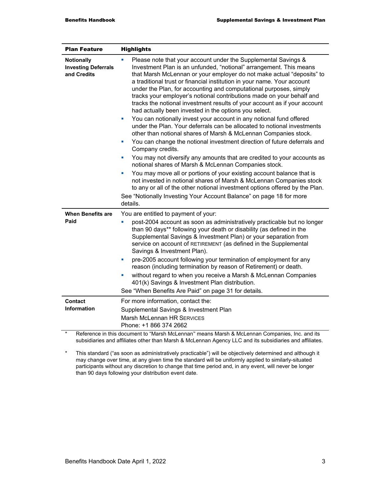| <b>Plan Feature</b>                                            | <b>Highlights</b>                                                                                                                                                                                                                                                                                                                                                                                                                                                                                                                                                                                                                                                                                                                                                                                                                                                                                                                                                                                                                                                                                                                                                                                                                                                                                                                                                                                    |  |  |  |
|----------------------------------------------------------------|------------------------------------------------------------------------------------------------------------------------------------------------------------------------------------------------------------------------------------------------------------------------------------------------------------------------------------------------------------------------------------------------------------------------------------------------------------------------------------------------------------------------------------------------------------------------------------------------------------------------------------------------------------------------------------------------------------------------------------------------------------------------------------------------------------------------------------------------------------------------------------------------------------------------------------------------------------------------------------------------------------------------------------------------------------------------------------------------------------------------------------------------------------------------------------------------------------------------------------------------------------------------------------------------------------------------------------------------------------------------------------------------------|--|--|--|
| <b>Notionally</b><br><b>Investing Deferrals</b><br>and Credits | Please note that your account under the Supplemental Savings &<br>Investment Plan is an unfunded, "notional" arrangement. This means<br>that Marsh McLennan or your employer do not make actual "deposits" to<br>a traditional trust or financial institution in your name. Your account<br>under the Plan, for accounting and computational purposes, simply<br>tracks your employer's notional contributions made on your behalf and<br>tracks the notional investment results of your account as if your account<br>had actually been invested in the options you select.<br>You can notionally invest your account in any notional fund offered<br>$\blacksquare$<br>under the Plan. Your deferrals can be allocated to notional investments<br>other than notional shares of Marsh & McLennan Companies stock.<br>You can change the notional investment direction of future deferrals and<br>ш<br>Company credits.<br>You may not diversify any amounts that are credited to your accounts as<br>$\blacksquare$<br>notional shares of Marsh & McLennan Companies stock.<br>You may move all or portions of your existing account balance that is<br>ш<br>not invested in notional shares of Marsh & McLennan Companies stock<br>to any or all of the other notional investment options offered by the Plan.<br>See "Notionally Investing Your Account Balance" on page 18 for more<br>details. |  |  |  |
| <b>When Benefits are</b>                                       | You are entitled to payment of your:                                                                                                                                                                                                                                                                                                                                                                                                                                                                                                                                                                                                                                                                                                                                                                                                                                                                                                                                                                                                                                                                                                                                                                                                                                                                                                                                                                 |  |  |  |
| Paid                                                           | post-2004 account as soon as administratively practicable but no longer<br>than 90 days** following your death or disability (as defined in the<br>Supplemental Savings & Investment Plan) or your separation from<br>Service on account of RETIREMENT (as defined in the Supplemental<br>Savings & Investment Plan).<br>pre-2005 account following your termination of employment for any<br>ш<br>reason (including termination by reason of Retirement) or death.<br>without regard to when you receive a Marsh & McLennan Companies<br>ш<br>401(k) Savings & Investment Plan distribution.<br>See "When Benefits Are Paid" on page 31 for details.                                                                                                                                                                                                                                                                                                                                                                                                                                                                                                                                                                                                                                                                                                                                                |  |  |  |
| Contact                                                        | For more information, contact the:                                                                                                                                                                                                                                                                                                                                                                                                                                                                                                                                                                                                                                                                                                                                                                                                                                                                                                                                                                                                                                                                                                                                                                                                                                                                                                                                                                   |  |  |  |
| <b>Information</b>                                             | Supplemental Savings & Investment Plan<br><b>Marsh McLennan HR SERVICES</b><br>Phone: +1 866 374 2662                                                                                                                                                                                                                                                                                                                                                                                                                                                                                                                                                                                                                                                                                                                                                                                                                                                                                                                                                                                                                                                                                                                                                                                                                                                                                                |  |  |  |

\* Reference in this document to "Marsh McLennan'' means Marsh & McLennan Companies, Inc. and its subsidiaries and affiliates other than Marsh & McLennan Agency LLC and its subsidiaries and affiliates.

\* This standard ("as soon as administratively practicable") will be objectively determined and although it may change over time, at any given time the standard will be uniformly applied to similarly-situated participants without any discretion to change that time period and, in any event, will never be longer than 90 days following your distribution event date.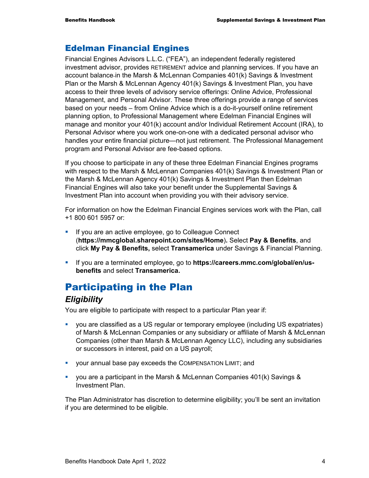### Edelman Financial Engines

Financial Engines Advisors L.L.C. ("FEA"), an independent federally registered investment advisor, provides RETIREMENT advice and planning services. If you have an account balance in the Marsh & McLennan Companies 401(k) Savings & Investment Plan or the Marsh & McLennan Agency 401(k) Savings & Investment Plan, you have access to their three levels of advisory service offerings: Online Advice, Professional Management, and Personal Advisor. These three offerings provide a range of services based on your needs – from Online Advice which is a do-it-yourself online retirement planning option, to Professional Management where Edelman Financial Engines will manage and monitor your 401(k) account and/or Individual Retirement Account (IRA), to Personal Advisor where you work one-on-one with a dedicated personal advisor who handles your entire financial picture—not just retirement. The Professional Management program and Personal Advisor are fee-based options.

If you choose to participate in any of these three Edelman Financial Engines programs with respect to the Marsh & McLennan Companies 401(k) Savings & Investment Plan or the Marsh & McLennan Agency 401(k) Savings & Investment Plan then Edelman Financial Engines will also take your benefit under the Supplemental Savings & Investment Plan into account when providing you with their advisory service.

For information on how the Edelman Financial Engines services work with the Plan, call +1 800 601 5957 or:

- **If you are an active employee, go to Colleague Connect** (**https://mmcglobal.sharepoint.com/sites/Home**)**.** Select **Pay & Benefits**, and click **My Pay & Benefits,** select **Transamerica** under Savings & Financial Planning.
- If you are a terminated employee, go to **https://careers.mmc.com/global/en/usbenefits** and select **Transamerica.**

## Participating in the Plan

#### *Eligibility*

You are eligible to participate with respect to a particular Plan year if:

- you are classified as a US regular or temporary employee (including US expatriates) of Marsh & McLennan Companies or any subsidiary or affiliate of Marsh & McLennan Companies (other than Marsh & McLennan Agency LLC), including any subsidiaries or successors in interest, paid on a US payroll;
- your annual base pay exceeds the COMPENSATION LIMIT; and
- you are a participant in the Marsh & McLennan Companies 401(k) Savings & Investment Plan.

The Plan Administrator has discretion to determine eligibility; you'll be sent an invitation if you are determined to be eligible.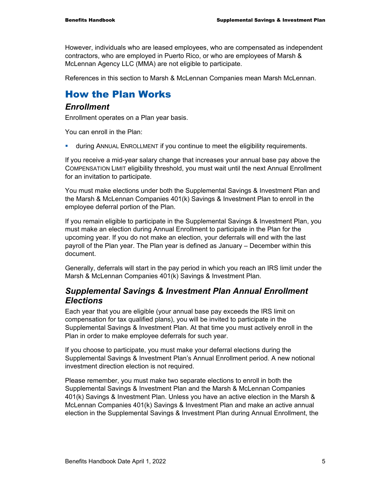However, individuals who are leased employees, who are compensated as independent contractors, who are employed in Puerto Rico, or who are employees of Marsh & McLennan Agency LLC (MMA) are not eligible to participate.

References in this section to Marsh & McLennan Companies mean Marsh McLennan.

## How the Plan Works

#### *Enrollment*

Enrollment operates on a Plan year basis.

You can enroll in the Plan:

during ANNUAL ENROLLMENT if you continue to meet the eligibility requirements.

If you receive a mid-year salary change that increases your annual base pay above the COMPENSATION LIMIT eligibility threshold, you must wait until the next Annual Enrollment for an invitation to participate.

You must make elections under both the Supplemental Savings & Investment Plan and the Marsh & McLennan Companies 401(k) Savings & Investment Plan to enroll in the employee deferral portion of the Plan.

If you remain eligible to participate in the Supplemental Savings & Investment Plan, you must make an election during Annual Enrollment to participate in the Plan for the upcoming year. If you do not make an election, your deferrals will end with the last payroll of the Plan year. The Plan year is defined as January – December within this document.

Generally, deferrals will start in the pay period in which you reach an IRS limit under the Marsh & McLennan Companies 401(k) Savings & Investment Plan.

#### *Supplemental Savings & Investment Plan Annual Enrollment Elections*

Each year that you are eligible (your annual base pay exceeds the IRS limit on compensation for tax qualified plans), you will be invited to participate in the Supplemental Savings & Investment Plan. At that time you must actively enroll in the Plan in order to make employee deferrals for such year.

If you choose to participate, you must make your deferral elections during the Supplemental Savings & Investment Plan's Annual Enrollment period. A new notional investment direction election is not required.

Please remember, you must make two separate elections to enroll in both the Supplemental Savings & Investment Plan and the Marsh & McLennan Companies 401(k) Savings & Investment Plan. Unless you have an active election in the Marsh & McLennan Companies 401(k) Savings & Investment Plan and make an active annual election in the Supplemental Savings & Investment Plan during Annual Enrollment, the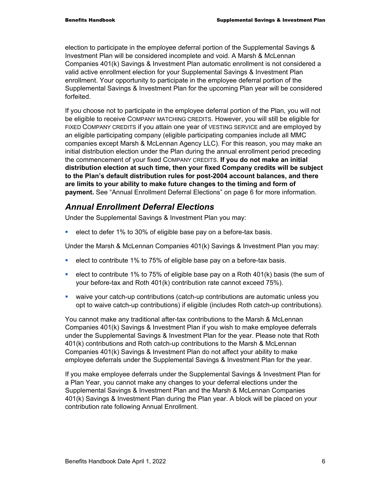election to participate in the employee deferral portion of the Supplemental Savings & Investment Plan will be considered incomplete and void. A Marsh & McLennan Companies 401(k) Savings & Investment Plan automatic enrollment is not considered a valid active enrollment election for your Supplemental Savings & Investment Plan enrollment. Your opportunity to participate in the employee deferral portion of the Supplemental Savings & Investment Plan for the upcoming Plan year will be considered forfeited.

If you choose not to participate in the employee deferral portion of the Plan, you will not be eligible to receive COMPANY MATCHING CREDITS. However, you will still be eligible for FIXED COMPANY CREDITS if you attain one year of VESTING SERVICE and are employed by an eligible participating company (eligible participating companies include all MMC companies except Marsh & McLennan Agency LLC). For this reason, you may make an initial distribution election under the Plan during the annual enrollment period preceding the commencement of your fixed COMPANY CREDITS. **If you do not make an initial distribution election at such time, then your fixed Company credits will be subject to the Plan's default distribution rules for post-2004 account balances, and there are limits to your ability to make future changes to the timing and form of payment.** See "Annual Enrollment Deferral Elections" on page 6 for more information.

## *Annual Enrollment Deferral Elections*

Under the Supplemental Savings & Investment Plan you may:

elect to defer 1% to 30% of eligible base pay on a before-tax basis.

Under the Marsh & McLennan Companies 401(k) Savings & Investment Plan you may:

- elect to contribute 1% to 75% of eligible base pay on a before-tax basis.
- elect to contribute 1% to 75% of eligible base pay on a Roth  $401(k)$  basis (the sum of your before-tax and Roth 401(k) contribution rate cannot exceed 75%).
- waive your catch-up contributions (catch-up contributions are automatic unless you opt to waive catch-up contributions) if eligible (includes Roth catch-up contributions).

You cannot make any traditional after-tax contributions to the Marsh & McLennan Companies 401(k) Savings & Investment Plan if you wish to make employee deferrals under the Supplemental Savings & Investment Plan for the year. Please note that Roth 401(k) contributions and Roth catch-up contributions to the Marsh & McLennan Companies 401(k) Savings & Investment Plan do not affect your ability to make employee deferrals under the Supplemental Savings & Investment Plan for the year.

If you make employee deferrals under the Supplemental Savings & Investment Plan for a Plan Year, you cannot make any changes to your deferral elections under the Supplemental Savings & Investment Plan and the Marsh & McLennan Companies 401(k) Savings & Investment Plan during the Plan year. A block will be placed on your contribution rate following Annual Enrollment.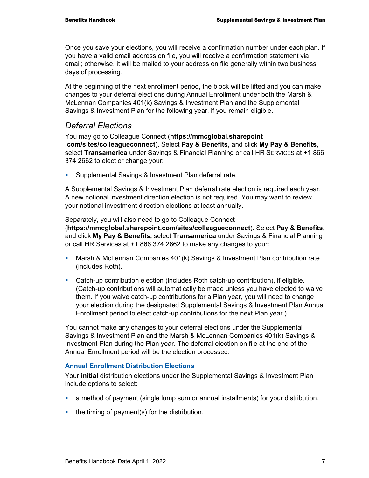Once you save your elections, you will receive a confirmation number under each plan. If you have a valid email address on file, you will receive a confirmation statement via email; otherwise, it will be mailed to your address on file generally within two business days of processing.

At the beginning of the next enrollment period, the block will be lifted and you can make changes to your deferral elections during Annual Enrollment under both the Marsh & McLennan Companies 401(k) Savings & Investment Plan and the Supplemental Savings & Investment Plan for the following year, if you remain eligible.

#### *Deferral Elections*

You may go to Colleague Connect (**https://mmcglobal.sharepoint .com/sites/colleagueconnect**)**.** Select **Pay & Benefits**, and click **My Pay & Benefits,** select **Transamerica** under Savings & Financial Planning or call HR SERVICES at +1 866 374 2662 to elect or change your:

**Supplemental Savings & Investment Plan deferral rate.** 

A Supplemental Savings & Investment Plan deferral rate election is required each year. A new notional investment direction election is not required. You may want to review your notional investment direction elections at least annually.

Separately, you will also need to go to Colleague Connect (**https://mmcglobal.sharepoint.com/sites/colleagueconnect**)**.** Select **Pay & Benefits**, and click **My Pay & Benefits,** select **Transamerica** under Savings & Financial Planning or call HR Services at +1 866 374 2662 to make any changes to your:

- Marsh & McLennan Companies 401(k) Savings & Investment Plan contribution rate (includes Roth).
- Catch-up contribution election (includes Roth catch-up contribution), if eligible. (Catch-up contributions will automatically be made unless you have elected to waive them. If you waive catch-up contributions for a Plan year, you will need to change your election during the designated Supplemental Savings & Investment Plan Annual Enrollment period to elect catch-up contributions for the next Plan year.)

You cannot make any changes to your deferral elections under the Supplemental Savings & Investment Plan and the Marsh & McLennan Companies 401(k) Savings & Investment Plan during the Plan year. The deferral election on file at the end of the Annual Enrollment period will be the election processed.

#### **Annual Enrollment Distribution Elections**

Your **initial** distribution elections under the Supplemental Savings & Investment Plan include options to select:

- a method of payment (single lump sum or annual installments) for your distribution.
- $\blacksquare$  the timing of payment(s) for the distribution.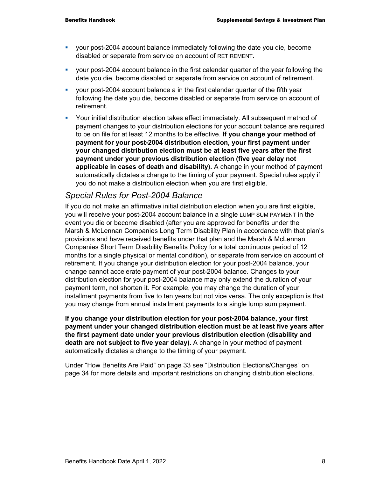- your post-2004 account balance immediately following the date you die, become disabled or separate from service on account of RETIREMENT.
- your post-2004 account balance in the first calendar quarter of the year following the date you die, become disabled or separate from service on account of retirement.
- your post-2004 account balance a in the first calendar quarter of the fifth year following the date you die, become disabled or separate from service on account of retirement.
- Your initial distribution election takes effect immediately. All subsequent method of payment changes to your distribution elections for your account balance are required to be on file for at least 12 months to be effective. **If you change your method of payment for your post-2004 distribution election, your first payment under your changed distribution election must be at least five years after the first payment under your previous distribution election (five year delay not applicable in cases of death and disability).** A change in your method of payment automatically dictates a change to the timing of your payment. Special rules apply if you do not make a distribution election when you are first eligible.

#### *Special Rules for Post-2004 Balance*

If you do not make an affirmative initial distribution election when you are first eligible, you will receive your post-2004 account balance in a single LUMP SUM PAYMENT in the event you die or become disabled (after you are approved for benefits under the Marsh & McLennan Companies Long Term Disability Plan in accordance with that plan's provisions and have received benefits under that plan and the Marsh & McLennan Companies Short Term Disability Benefits Policy for a total continuous period of 12 months for a single physical or mental condition), or separate from service on account of retirement. If you change your distribution election for your post-2004 balance, your change cannot accelerate payment of your post-2004 balance. Changes to your distribution election for your post-2004 balance may only extend the duration of your payment term, not shorten it. For example, you may change the duration of your installment payments from five to ten years but not vice versa. The only exception is that you may change from annual installment payments to a single lump sum payment.

**If you change your distribution election for your post-2004 balance, your first payment under your changed distribution election must be at least five years after the first payment date under your previous distribution election (disability and death are not subject to five year delay).** A change in your method of payment automatically dictates a change to the timing of your payment.

Under "How Benefits Are Paid" on page 33 see "Distribution Elections/Changes" on page 34 for more details and important restrictions on changing distribution elections.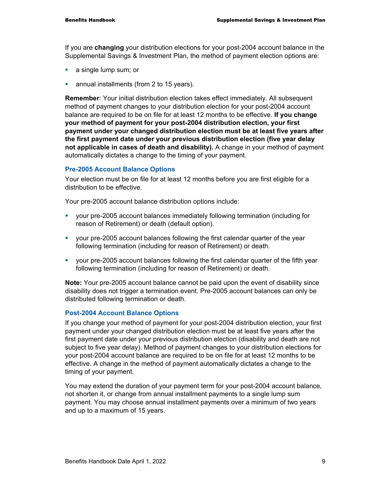If you are **changing** your distribution elections for your post-2004 account balance in the Supplemental Savings & Investment Plan, the method of payment election options are:

- **a** single lump sum; or
- **annual installments (from 2 to 15 years).**

**Remember**: Your initial distribution election takes effect immediately. All subsequent method of payment changes to your distribution election for your post-2004 account balance are required to be on file for at least 12 months to be effective. **If you change your method of payment for your post-2004 distribution election, your first payment under your changed distribution election must be at least five years after the first payment date under your previous distribution election (five year delay not applicable in cases of death and disability).** A change in your method of payment automatically dictates a change to the timing of your payment.

#### **Pre-2005 Account Balance Options**

Your election must be on file for at least 12 months before you are first eligible for a distribution to be effective.

Your pre-2005 account balance distribution options include:

- your pre-2005 account balances immediately following termination (including for reason of Retirement) or death (default option).
- your pre-2005 account balances following the first calendar quarter of the year following termination (including for reason of Retirement) or death.
- your pre-2005 account balances following the first calendar quarter of the fifth year following termination (including for reason of Retirement) or death.

**Note:** Your pre-2005 account balance cannot be paid upon the event of disability since disability does not trigger a termination event. Pre-2005 account balances can only be distributed following termination or death.

#### **Post-2004 Account Balance Options**

If you change your method of payment for your post-2004 distribution election, your first payment under your changed distribution election must be at least five years after the first payment date under your previous distribution election (disability and death are not subject to five year delay). Method of payment changes to your distribution elections for your post-2004 account balance are required to be on file for at least 12 months to be effective. A change in the method of payment automatically dictates a change to the timing of your payment.

You may extend the duration of your payment term for your post-2004 account balance, not shorten it, or change from annual installment payments to a single lump sum payment. You may choose annual installment payments over a minimum of two years and up to a maximum of 15 years.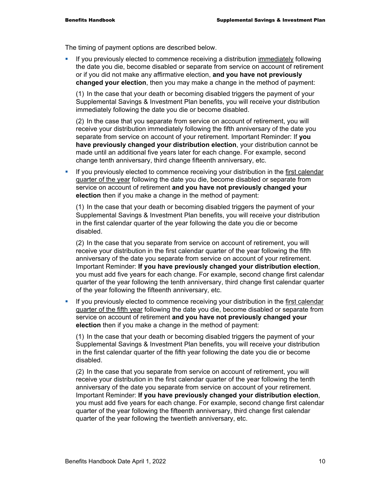The timing of payment options are described below.

If you previously elected to commence receiving a distribution immediately following the date you die, become disabled or separate from service on account of retirement or if you did not make any affirmative election, **and you have not previously changed your election**, then you may make a change in the method of payment:

(1) In the case that your death or becoming disabled triggers the payment of your Supplemental Savings & Investment Plan benefits, you will receive your distribution immediately following the date you die or become disabled.

(2) In the case that you separate from service on account of retirement, you will receive your distribution immediately following the fifth anniversary of the date you separate from service on account of your retirement. Important Reminder: If **you have previously changed your distribution election**, your distribution cannot be made until an additional five years later for each change. For example, second change tenth anniversary, third change fifteenth anniversary, etc.

If you previously elected to commence receiving your distribution in the first calendar quarter of the year following the date you die, become disabled or separate from service on account of retirement **and you have not previously changed your election** then if you make a change in the method of payment:

(1) In the case that your death or becoming disabled triggers the payment of your Supplemental Savings & Investment Plan benefits, you will receive your distribution in the first calendar quarter of the year following the date you die or become disabled.

(2) In the case that you separate from service on account of retirement, you will receive your distribution in the first calendar quarter of the year following the fifth anniversary of the date you separate from service on account of your retirement. Important Reminder: **If you have previously changed your distribution election**, you must add five years for each change. For example, second change first calendar quarter of the year following the tenth anniversary, third change first calendar quarter of the year following the fifteenth anniversary, etc.

If you previously elected to commence receiving your distribution in the first calendar quarter of the fifth year following the date you die, become disabled or separate from service on account of retirement **and you have not previously changed your election** then if you make a change in the method of payment:

(1) In the case that your death or becoming disabled triggers the payment of your Supplemental Savings & Investment Plan benefits, you will receive your distribution in the first calendar quarter of the fifth year following the date you die or become disabled.

(2) In the case that you separate from service on account of retirement, you will receive your distribution in the first calendar quarter of the year following the tenth anniversary of the date you separate from service on account of your retirement. Important Reminder: **If you have previously changed your distribution election**, you must add five years for each change. For example, second change first calendar quarter of the year following the fifteenth anniversary, third change first calendar quarter of the year following the twentieth anniversary, etc.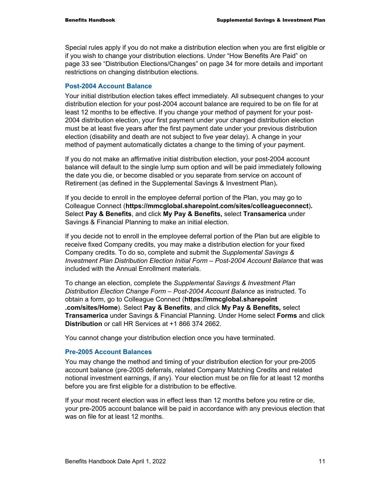Special rules apply if you do not make a distribution election when you are first eligible or if you wish to change your distribution elections. Under "How Benefits Are Paid" on page 33 see "Distribution Elections/Changes" on page 34 for more details and important restrictions on changing distribution elections.

#### **Post-2004 Account Balance**

Your initial distribution election takes effect immediately. All subsequent changes to your distribution election for your post-2004 account balance are required to be on file for at least 12 months to be effective. If you change your method of payment for your post-2004 distribution election, your first payment under your changed distribution election must be at least five years after the first payment date under your previous distribution election (disability and death are not subject to five year delay). A change in your method of payment automatically dictates a change to the timing of your payment.

If you do not make an affirmative initial distribution election, your post-2004 account balance will default to the single lump sum option and will be paid immediately following the date you die, or become disabled or you separate from service on account of Retirement (as defined in the Supplemental Savings & Investment Plan)**.** 

If you decide to enroll in the employee deferral portion of the Plan, you may go to Colleague Connect (**https://mmcglobal.sharepoint.com/sites/colleagueconnect**)**.**  Select **Pay & Benefits**, and click **My Pay & Benefits,** select **Transamerica** under Savings & Financial Planning to make an initial election.

If you decide not to enroll in the employee deferral portion of the Plan but are eligible to receive fixed Company credits, you may make a distribution election for your fixed Company credits. To do so, complete and submit the *Supplemental Savings & Investment Plan Distribution Election Initial Form – Post-2004 Account Balance* that was included with the Annual Enrollment materials.

To change an election, complete the *Supplemental Savings & Investment Plan Distribution Election Change Form – Post-2004 Account Balance* as instructed. To obtain a form, go to Colleague Connect (**https://mmcglobal.sharepoint .com/sites/Home**). Select **Pay & Benefits**, and click **My Pay & Benefits,** select **Transamerica** under Savings & Financial Planning. Under Home select **Forms** and click **Distribution** or call HR Services at +1 866 374 2662.

You cannot change your distribution election once you have terminated.

#### **Pre-2005 Account Balances**

You may change the method and timing of your distribution election for your pre-2005 account balance (pre-2005 deferrals, related Company Matching Credits and related notional investment earnings, if any). Your election must be on file for at least 12 months before you are first eligible for a distribution to be effective.

If your most recent election was in effect less than 12 months before you retire or die, your pre-2005 account balance will be paid in accordance with any previous election that was on file for at least 12 months.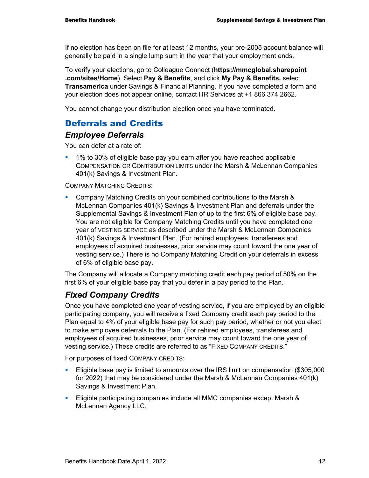If no election has been on file for at least 12 months, your pre-2005 account balance will generally be paid in a single lump sum in the year that your employment ends.

To verify your elections, go to Colleague Connect (**https://mmcglobal.sharepoint .com/sites/Home**). Select **Pay & Benefits**, and click **My Pay & Benefits,** select **Transamerica** under Savings & Financial Planning. If you have completed a form and your election does not appear online, contact HR Services at +1 866 374 2662.

You cannot change your distribution election once you have terminated.

## Deferrals and Credits

#### *Employee Deferrals*

You can defer at a rate of:

 1% to 30% of eligible base pay you earn after you have reached applicable COMPENSATION OR CONTRIBUTION LIMITS under the Marsh & McLennan Companies 401(k) Savings & Investment Plan.

COMPANY MATCHING CREDITS:

 Company Matching Credits on your combined contributions to the Marsh & McLennan Companies 401(k) Savings & Investment Plan and deferrals under the Supplemental Savings & Investment Plan of up to the first 6% of eligible base pay. You are not eligible for Company Matching Credits until you have completed one year of VESTING SERVICE as described under the Marsh & McLennan Companies 401(k) Savings & Investment Plan. (For rehired employees, transferees and employees of acquired businesses, prior service may count toward the one year of vesting service.) There is no Company Matching Credit on your deferrals in excess of 6% of eligible base pay.

The Company will allocate a Company matching credit each pay period of 50% on the first 6% of your eligible base pay that you defer in a pay period to the Plan.

## *Fixed Company Credits*

Once you have completed one year of vesting service, if you are employed by an eligible participating company, you will receive a fixed Company credit each pay period to the Plan equal to 4% of your eligible base pay for such pay period, whether or not you elect to make employee deferrals to the Plan. (For rehired employees, transferees and employees of acquired businesses, prior service may count toward the one year of vesting service.) These credits are referred to as "FIXED COMPANY CREDITS."

For purposes of fixed COMPANY CREDITS:

- Eligible base pay is limited to amounts over the IRS limit on compensation (\$305,000 for 2022) that may be considered under the Marsh & McLennan Companies 401(k) Savings & Investment Plan.
- **Eligible participating companies include all MMC companies except Marsh &** McLennan Agency LLC.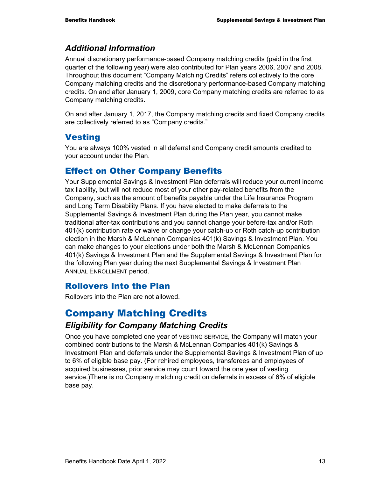#### *Additional Information*

Annual discretionary performance-based Company matching credits (paid in the first quarter of the following year) were also contributed for Plan years 2006, 2007 and 2008. Throughout this document "Company Matching Credits" refers collectively to the core Company matching credits and the discretionary performance-based Company matching credits. On and after January 1, 2009, core Company matching credits are referred to as Company matching credits.

On and after January 1, 2017, the Company matching credits and fixed Company credits are collectively referred to as "Company credits."

#### **Vesting**

You are always 100% vested in all deferral and Company credit amounts credited to your account under the Plan.

#### Effect on Other Company Benefits

Your Supplemental Savings & Investment Plan deferrals will reduce your current income tax liability, but will not reduce most of your other pay-related benefits from the Company, such as the amount of benefits payable under the Life Insurance Program and Long Term Disability Plans. If you have elected to make deferrals to the Supplemental Savings & Investment Plan during the Plan year, you cannot make traditional after-tax contributions and you cannot change your before-tax and/or Roth 401(k) contribution rate or waive or change your catch-up or Roth catch-up contribution election in the Marsh & McLennan Companies 401(k) Savings & Investment Plan. You can make changes to your elections under both the Marsh & McLennan Companies 401(k) Savings & Investment Plan and the Supplemental Savings & Investment Plan for the following Plan year during the next Supplemental Savings & Investment Plan ANNUAL ENROLLMENT period.

#### Rollovers Into the Plan

Rollovers into the Plan are not allowed.

## Company Matching Credits

#### *Eligibility for Company Matching Credits*

Once you have completed one year of VESTING SERVICE, the Company will match your combined contributions to the Marsh & McLennan Companies 401(k) Savings & Investment Plan and deferrals under the Supplemental Savings & Investment Plan of up to 6% of eligible base pay. (For rehired employees, transferees and employees of acquired businesses, prior service may count toward the one year of vesting service.)There is no Company matching credit on deferrals in excess of 6% of eligible base pay.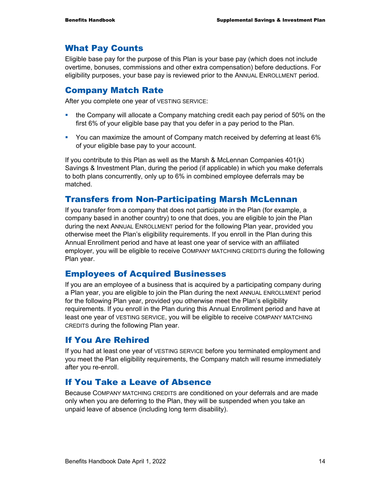## What Pay Counts

Eligible base pay for the purpose of this Plan is your base pay (which does not include overtime, bonuses, commissions and other extra compensation) before deductions. For eligibility purposes, your base pay is reviewed prior to the ANNUAL ENROLLMENT period.

### Company Match Rate

After you complete one year of VESTING SERVICE:

- **the Company will allocate a Company matching credit each pay period of 50% on the** first 6% of your eligible base pay that you defer in a pay period to the Plan.
- You can maximize the amount of Company match received by deferring at least 6% of your eligible base pay to your account.

If you contribute to this Plan as well as the Marsh & McLennan Companies 401(k) Savings & Investment Plan, during the period (if applicable) in which you make deferrals to both plans concurrently, only up to 6% in combined employee deferrals may be matched.

## Transfers from Non-Participating Marsh McLennan

If you transfer from a company that does not participate in the Plan (for example, a company based in another country) to one that does, you are eligible to join the Plan during the next ANNUAL ENROLLMENT period for the following Plan year, provided you otherwise meet the Plan's eligibility requirements. If you enroll in the Plan during this Annual Enrollment period and have at least one year of service with an affiliated employer, you will be eligible to receive COMPANY MATCHING CREDITS during the following Plan year.

#### Employees of Acquired Businesses

If you are an employee of a business that is acquired by a participating company during a Plan year, you are eligible to join the Plan during the next ANNUAL ENROLLMENT period for the following Plan year, provided you otherwise meet the Plan's eligibility requirements. If you enroll in the Plan during this Annual Enrollment period and have at least one year of VESTING SERVICE, you will be eligible to receive COMPANY MATCHING CREDITS during the following Plan year.

#### If You Are Rehired

If you had at least one year of VESTING SERVICE before you terminated employment and you meet the Plan eligibility requirements, the Company match will resume immediately after you re-enroll.

## If You Take a Leave of Absence

Because COMPANY MATCHING CREDITS are conditioned on your deferrals and are made only when you are deferring to the Plan, they will be suspended when you take an unpaid leave of absence (including long term disability).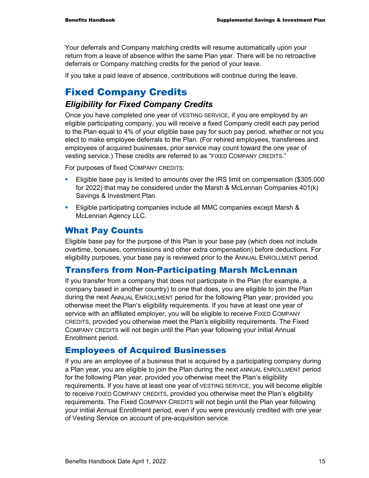Your deferrals and Company matching credits will resume automatically upon your return from a leave of absence within the same Plan year. There will be no retroactive deferrals or Company matching credits for the period of your leave.

If you take a paid leave of absence, contributions will continue during the leave.

## Fixed Company Credits

#### *Eligibility for Fixed Company Credits*

Once you have completed one year of VESTING SERVICE, if you are employed by an eligible participating company, you will receive a fixed Company credit each pay period to the Plan equal to 4% of your eligible base pay for such pay period, whether or not you elect to make employee deferrals to the Plan. (For rehired employees, transferees and employees of acquired businesses, prior service may count toward the one year of vesting service.) These credits are referred to as "FIXED COMPANY CREDITS."

For purposes of fixed COMPANY CREDITS:

- Eligible base pay is limited to amounts over the IRS limit on compensation (\$305,000 for 2022) that may be considered under the Marsh & McLennan Companies 401(k) Savings & Investment Plan.
- Eligible participating companies include all MMC companies except Marsh & McLennan Agency LLC.

#### What Pay Counts

Eligible base pay for the purpose of this Plan is your base pay (which does not include overtime, bonuses, commissions and other extra compensation) before deductions. For eligibility purposes, your base pay is reviewed prior to the ANNUAL ENROLLMENT period.

#### Transfers from Non-Participating Marsh McLennan

If you transfer from a company that does not participate in the Plan (for example, a company based in another country) to one that does, you are eligible to join the Plan during the next ANNUAL ENROLLMENT period for the following Plan year, provided you otherwise meet the Plan's eligibility requirements. If you have at least one year of service with an affiliated employer, you will be eligible to receive FIXED COMPANY CREDITS, provided you otherwise meet the Plan's eligibility requirements. The Fixed COMPANY CREDITS will not begin until the Plan year following your initial Annual Enrollment period.

#### Employees of Acquired Businesses

If you are an employee of a business that is acquired by a participating company during a Plan year, you are eligible to join the Plan during the next ANNUAL ENROLLMENT period for the following Plan year, provided you otherwise meet the Plan's eligibility requirements. If you have at least one year of VESTING SERVICE, you will become eligible to receive FIXED COMPANY CREDITS, provided you otherwise meet the Plan's eligibility requirements. The Fixed COMPANY CREDITS will not begin until the Plan year following your initial Annual Enrollment period, even if you were previously credited with one year of Vesting Service on account of pre-acquisition service.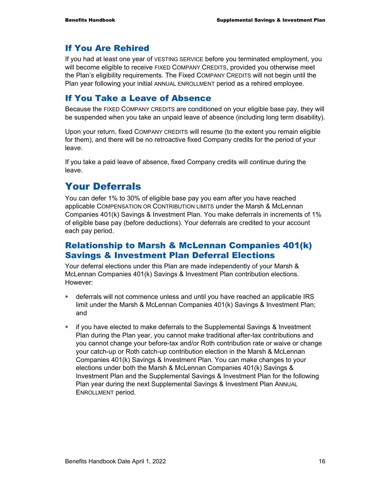## If You Are Rehired

If you had at least one year of VESTING SERVICE before you terminated employment, you will become eligible to receive FIXED COMPANY CREDITS, provided you otherwise meet the Plan's eligibility requirements. The Fixed COMPANY CREDITS will not begin until the Plan year following your initial ANNUAL ENROLLMENT period as a rehired employee.

## If You Take a Leave of Absence

Because the FIXED COMPANY CREDITS are conditioned on your eligible base pay, they will be suspended when you take an unpaid leave of absence (including long term disability).

Upon your return, fixed COMPANY CREDITS will resume (to the extent you remain eligible for them), and there will be no retroactive fixed Company credits for the period of your leave.

If you take a paid leave of absence, fixed Company credits will continue during the leave.

## Your Deferrals

You can defer 1% to 30% of eligible base pay you earn after you have reached applicable COMPENSATION OR CONTRIBUTION LIMITS under the Marsh & McLennan Companies 401(k) Savings & Investment Plan. You make deferrals in increments of 1% of eligible base pay (before deductions). Your deferrals are credited to your account each pay period.

## Relationship to Marsh & McLennan Companies 401(k) Savings & Investment Plan Deferral Elections

Your deferral elections under this Plan are made independently of your Marsh & McLennan Companies 401(k) Savings & Investment Plan contribution elections. However:

- deferrals will not commence unless and until you have reached an applicable IRS limit under the Marsh & McLennan Companies 401(k) Savings & Investment Plan; and
- if you have elected to make deferrals to the Supplemental Savings & Investment Plan during the Plan year, you cannot make traditional after-tax contributions and you cannot change your before-tax and/or Roth contribution rate or waive or change your catch-up or Roth catch-up contribution election in the Marsh & McLennan Companies 401(k) Savings & Investment Plan. You can make changes to your elections under both the Marsh & McLennan Companies 401(k) Savings & Investment Plan and the Supplemental Savings & Investment Plan for the following Plan year during the next Supplemental Savings & Investment Plan ANNUAL ENROLLMENT period.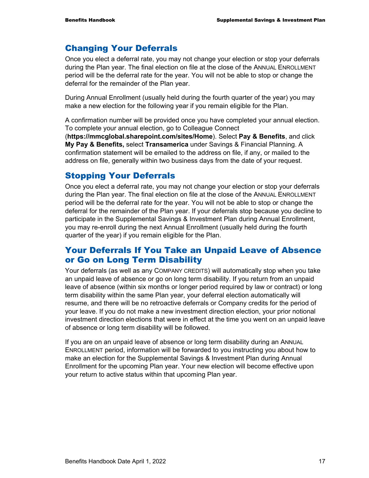#### Changing Your Deferrals

Once you elect a deferral rate, you may not change your election or stop your deferrals during the Plan year. The final election on file at the close of the ANNUAL ENROLLMENT period will be the deferral rate for the year. You will not be able to stop or change the deferral for the remainder of the Plan year.

During Annual Enrollment (usually held during the fourth quarter of the year) you may make a new election for the following year if you remain eligible for the Plan.

A confirmation number will be provided once you have completed your annual election. To complete your annual election, go to Colleague Connect

(**https://mmcglobal.sharepoint.com/sites/Home**). Select **Pay & Benefits**, and click **My Pay & Benefits,** select **Transamerica** under Savings & Financial Planning. A confirmation statement will be emailed to the address on file, if any, or mailed to the address on file, generally within two business days from the date of your request.

#### Stopping Your Deferrals

Once you elect a deferral rate, you may not change your election or stop your deferrals during the Plan year. The final election on file at the close of the ANNUAL ENROLLMENT period will be the deferral rate for the year. You will not be able to stop or change the deferral for the remainder of the Plan year. If your deferrals stop because you decline to participate in the Supplemental Savings & Investment Plan during Annual Enrollment, you may re-enroll during the next Annual Enrollment (usually held during the fourth quarter of the year) if you remain eligible for the Plan.

#### Your Deferrals If You Take an Unpaid Leave of Absence or Go on Long Term Disability

Your deferrals (as well as any COMPANY CREDITS) will automatically stop when you take an unpaid leave of absence or go on long term disability. If you return from an unpaid leave of absence (within six months or longer period required by law or contract) or long term disability within the same Plan year, your deferral election automatically will resume, and there will be no retroactive deferrals or Company credits for the period of your leave. If you do not make a new investment direction election, your prior notional investment direction elections that were in effect at the time you went on an unpaid leave of absence or long term disability will be followed.

If you are on an unpaid leave of absence or long term disability during an ANNUAL ENROLLMENT period, information will be forwarded to you instructing you about how to make an election for the Supplemental Savings & Investment Plan during Annual Enrollment for the upcoming Plan year. Your new election will become effective upon your return to active status within that upcoming Plan year.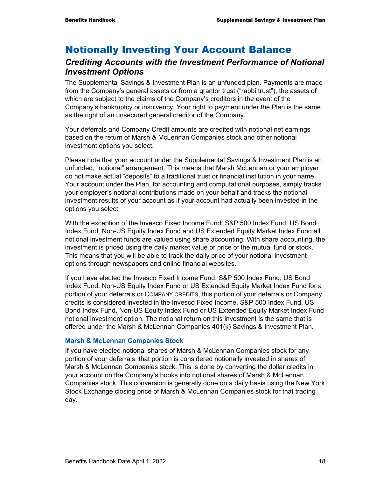## Notionally Investing Your Account Balance

#### *Crediting Accounts with the Investment Performance of Notional Investment Options*

The Supplemental Savings & Investment Plan is an unfunded plan. Payments are made from the Company's general assets or from a grantor trust ("rabbi trust"), the assets of which are subject to the claims of the Company's creditors in the event of the Company's bankruptcy or insolvency. Your right to payment under the Plan is the same as the right of an unsecured general creditor of the Company.

Your deferrals and Company Credit amounts are credited with notional net earnings based on the return of Marsh & McLennan Companies stock and other notional investment options you select.

Please note that your account under the Supplemental Savings & Investment Plan is an unfunded, "notional" arrangement. This means that Marsh McLennan or your employer do not make actual "deposits" to a traditional trust or financial institution in your name. Your account under the Plan, for accounting and computational purposes, simply tracks your employer's notional contributions made on your behalf and tracks the notional investment results of your account as if your account had actually been invested in the options you select.

With the exception of the Invesco Fixed Income Fund, S&P 500 Index Fund, US Bond Index Fund, Non-US Equity Index Fund and US Extended Equity Market Index Fund all notional investment funds are valued using share accounting. With share accounting, the investment is priced using the daily market value or price of the mutual fund or stock. This means that you will be able to track the daily price of your notional investment options through newspapers and online financial websites.

If you have elected the Invesco Fixed Income Fund, S&P 500 Index Fund, US Bond Index Fund, Non-US Equity Index Fund or US Extended Equity Market Index Fund for a portion of your deferrals or COMPANY CREDITS, this portion of your deferrals or Company credits is considered invested in the Invesco Fixed Income, S&P 500 Index Fund, US Bond Index Fund, Non-US Equity Index Fund or US Extended Equity Market Index Fund notional investment option. The notional return on this investment is the same that is offered under the Marsh & McLennan Companies 401(k) Savings & Investment Plan.

#### **Marsh & McLennan Companies Stock**

If you have elected notional shares of Marsh & McLennan Companies stock for any portion of your deferrals, that portion is considered notionally invested in shares of Marsh & McLennan Companies stock. This is done by converting the dollar credits in your account on the Company's books into notional shares of Marsh & McLennan Companies stock. This conversion is generally done on a daily basis using the New York Stock Exchange closing price of Marsh & McLennan Companies stock for that trading day.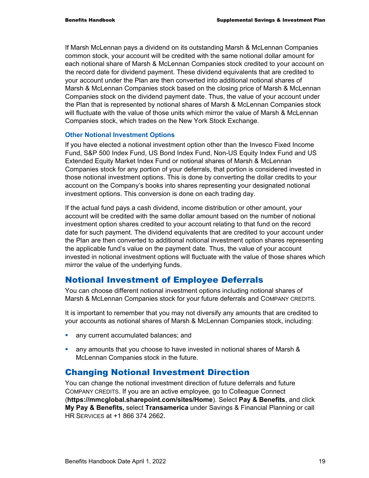If Marsh McLennan pays a dividend on its outstanding Marsh & McLennan Companies common stock, your account will be credited with the same notional dollar amount for each notional share of Marsh & McLennan Companies stock credited to your account on the record date for dividend payment. These dividend equivalents that are credited to your account under the Plan are then converted into additional notional shares of Marsh & McLennan Companies stock based on the closing price of Marsh & McLennan Companies stock on the dividend payment date. Thus, the value of your account under the Plan that is represented by notional shares of Marsh & McLennan Companies stock will fluctuate with the value of those units which mirror the value of Marsh & McLennan Companies stock, which trades on the New York Stock Exchange.

#### **Other Notional Investment Options**

If you have elected a notional investment option other than the Invesco Fixed Income Fund, S&P 500 Index Fund, US Bond Index Fund, Non-US Equity Index Fund and US Extended Equity Market Index Fund or notional shares of Marsh & McLennan Companies stock for any portion of your deferrals, that portion is considered invested in those notional investment options. This is done by converting the dollar credits to your account on the Company's books into shares representing your designated notional investment options. This conversion is done on each trading day.

If the actual fund pays a cash dividend, income distribution or other amount, your account will be credited with the same dollar amount based on the number of notional investment option shares credited to your account relating to that fund on the record date for such payment. The dividend equivalents that are credited to your account under the Plan are then converted to additional notional investment option shares representing the applicable fund's value on the payment date. Thus, the value of your account invested in notional investment options will fluctuate with the value of those shares which mirror the value of the underlying funds.

#### Notional Investment of Employee Deferrals

You can choose different notional investment options including notional shares of Marsh & McLennan Companies stock for your future deferrals and COMPANY CREDITS.

It is important to remember that you may not diversify any amounts that are credited to your accounts as notional shares of Marsh & McLennan Companies stock, including:

- **a** any current accumulated balances; and
- any amounts that you choose to have invested in notional shares of Marsh & McLennan Companies stock in the future.

#### Changing Notional Investment Direction

You can change the notional investment direction of future deferrals and future COMPANY CREDITS. If you are an active employee, go to Colleague Connect (**https://mmcglobal.sharepoint.com/sites/Home**). Select **Pay & Benefits**, and click **My Pay & Benefits,** select **Transamerica** under Savings & Financial Planning or call HR SERVICES at +1 866 374 2662.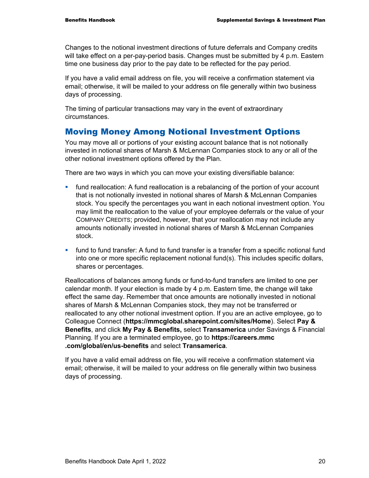Changes to the notional investment directions of future deferrals and Company credits will take effect on a per-pay-period basis. Changes must be submitted by 4 p.m. Eastern time one business day prior to the pay date to be reflected for the pay period.

If you have a valid email address on file, you will receive a confirmation statement via email; otherwise, it will be mailed to your address on file generally within two business days of processing.

The timing of particular transactions may vary in the event of extraordinary circumstances.

## Moving Money Among Notional Investment Options

You may move all or portions of your existing account balance that is not notionally invested in notional shares of Marsh & McLennan Companies stock to any or all of the other notional investment options offered by the Plan.

There are two ways in which you can move your existing diversifiable balance:

- fund reallocation: A fund reallocation is a rebalancing of the portion of your account that is not notionally invested in notional shares of Marsh & McLennan Companies stock. You specify the percentages you want in each notional investment option. You may limit the reallocation to the value of your employee deferrals or the value of your COMPANY CREDITS; provided, however, that your reallocation may not include any amounts notionally invested in notional shares of Marsh & McLennan Companies stock.
- fund to fund transfer: A fund to fund transfer is a transfer from a specific notional fund into one or more specific replacement notional fund(s). This includes specific dollars, shares or percentages.

Reallocations of balances among funds or fund-to-fund transfers are limited to one per calendar month. If your election is made by 4 p.m. Eastern time, the change will take effect the same day. Remember that once amounts are notionally invested in notional shares of Marsh & McLennan Companies stock, they may not be transferred or reallocated to any other notional investment option. If you are an active employee, go to Colleague Connect (**https://mmcglobal.sharepoint.com/sites/Home**). Select **Pay & Benefits**, and click **My Pay & Benefits,** select **Transamerica** under Savings & Financial Planning. If you are a terminated employee, go to **https://careers.mmc .com/global/en/us-benefits** and select **Transamerica**.

If you have a valid email address on file, you will receive a confirmation statement via email; otherwise, it will be mailed to your address on file generally within two business days of processing.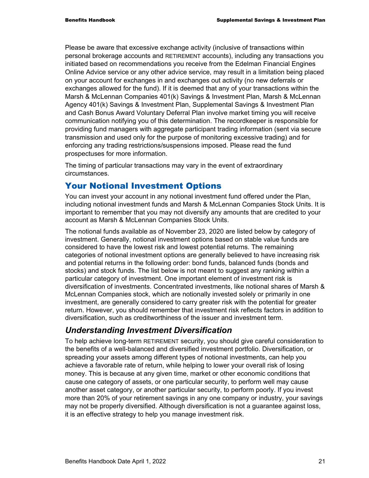Please be aware that excessive exchange activity (inclusive of transactions within personal brokerage accounts and RETIREMENT accounts), including any transactions you initiated based on recommendations you receive from the Edelman Financial Engines Online Advice service or any other advice service, may result in a limitation being placed on your account for exchanges in and exchanges out activity (no new deferrals or exchanges allowed for the fund). If it is deemed that any of your transactions within the Marsh & McLennan Companies 401(k) Savings & Investment Plan, Marsh & McLennan Agency 401(k) Savings & Investment Plan, Supplemental Savings & Investment Plan and Cash Bonus Award Voluntary Deferral Plan involve market timing you will receive communication notifying you of this determination. The recordkeeper is responsible for providing fund managers with aggregate participant trading information (sent via secure transmission and used only for the purpose of monitoring excessive trading) and for enforcing any trading restrictions/suspensions imposed. Please read the fund prospectuses for more information.

The timing of particular transactions may vary in the event of extraordinary circumstances.

## Your Notional Investment Options

You can invest your account in any notional investment fund offered under the Plan, including notional investment funds and Marsh & McLennan Companies Stock Units. It is important to remember that you may not diversify any amounts that are credited to your account as Marsh & McLennan Companies Stock Units.

The notional funds available as of November 23, 2020 are listed below by category of investment. Generally, notional investment options based on stable value funds are considered to have the lowest risk and lowest potential returns. The remaining categories of notional investment options are generally believed to have increasing risk and potential returns in the following order: bond funds, balanced funds (bonds and stocks) and stock funds. The list below is not meant to suggest any ranking within a particular category of investment. One important element of investment risk is diversification of investments. Concentrated investments, like notional shares of Marsh & McLennan Companies stock, which are notionally invested solely or primarily in one investment, are generally considered to carry greater risk with the potential for greater return. However, you should remember that investment risk reflects factors in addition to diversification, such as creditworthiness of the issuer and investment term.

## *Understanding Investment Diversification*

To help achieve long-term RETIREMENT security, you should give careful consideration to the benefits of a well-balanced and diversified investment portfolio. Diversification, or spreading your assets among different types of notional investments, can help you achieve a favorable rate of return, while helping to lower your overall risk of losing money. This is because at any given time, market or other economic conditions that cause one category of assets, or one particular security, to perform well may cause another asset category, or another particular security, to perform poorly. If you invest more than 20% of your retirement savings in any one company or industry, your savings may not be properly diversified. Although diversification is not a guarantee against loss, it is an effective strategy to help you manage investment risk.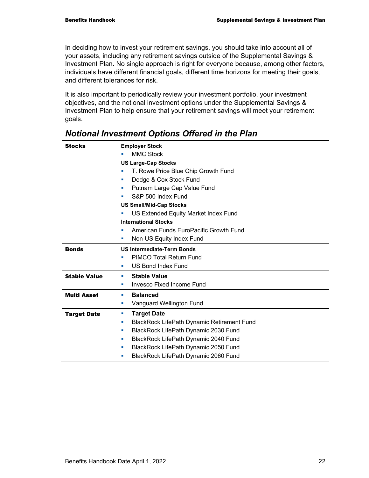In deciding how to invest your retirement savings, you should take into account all of your assets, including any retirement savings outside of the Supplemental Savings & Investment Plan. No single approach is right for everyone because, among other factors, individuals have different financial goals, different time horizons for meeting their goals, and different tolerances for risk.

It is also important to periodically review your investment portfolio, your investment objectives, and the notional investment options under the Supplemental Savings & Investment Plan to help ensure that your retirement savings will meet your retirement goals.

| <b>Stocks</b>       | <b>Employer Stock</b>                                  |  |  |  |  |  |
|---------------------|--------------------------------------------------------|--|--|--|--|--|
|                     | <b>MMC Stock</b>                                       |  |  |  |  |  |
|                     | <b>US Large-Cap Stocks</b>                             |  |  |  |  |  |
|                     | T. Rowe Price Blue Chip Growth Fund<br>ш               |  |  |  |  |  |
|                     | Dodge & Cox Stock Fund<br>×                            |  |  |  |  |  |
|                     | Putnam Large Cap Value Fund<br>п                       |  |  |  |  |  |
|                     | S&P 500 Index Fund<br>п                                |  |  |  |  |  |
|                     | <b>US Small/Mid-Cap Stocks</b>                         |  |  |  |  |  |
|                     | US Extended Equity Market Index Fund                   |  |  |  |  |  |
|                     | <b>International Stocks</b>                            |  |  |  |  |  |
|                     | American Funds EuroPacific Growth Fund                 |  |  |  |  |  |
|                     | Non-US Equity Index Fund<br>ш                          |  |  |  |  |  |
| <b>Bonds</b>        | <b>US Intermediate-Term Bonds</b>                      |  |  |  |  |  |
|                     | PIMCO Total Return Fund<br>п                           |  |  |  |  |  |
|                     | <b>US Bond Index Fund</b><br>ш                         |  |  |  |  |  |
| <b>Stable Value</b> | <b>Stable Value</b><br>ш                               |  |  |  |  |  |
|                     | <b>Invesco Fixed Income Fund</b><br>ш                  |  |  |  |  |  |
| <b>Multi Asset</b>  | <b>Balanced</b><br>u,                                  |  |  |  |  |  |
|                     | Vanguard Wellington Fund<br>ш                          |  |  |  |  |  |
| <b>Target Date</b>  | <b>Target Date</b><br>ш                                |  |  |  |  |  |
|                     | <b>BlackRock LifePath Dynamic Retirement Fund</b><br>× |  |  |  |  |  |
|                     | BlackRock LifePath Dynamic 2030 Fund<br>u,             |  |  |  |  |  |
|                     | BlackRock LifePath Dynamic 2040 Fund<br>п              |  |  |  |  |  |
|                     | BlackRock LifePath Dynamic 2050 Fund<br>ш              |  |  |  |  |  |
|                     | BlackRock LifePath Dynamic 2060 Fund<br>ш              |  |  |  |  |  |

## *Notional Investment Options Offered in the Plan*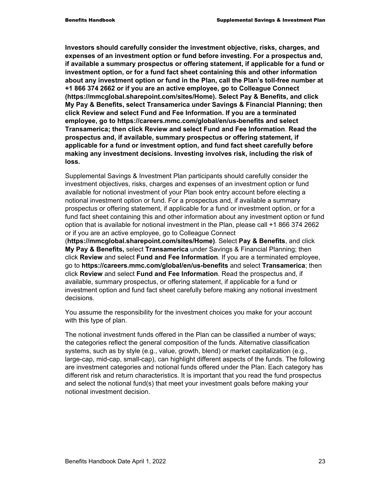**Investors should carefully consider the investment objective, risks, charges, and expenses of an investment option or fund before investing. For a prospectus and, if available a summary prospectus or offering statement, if applicable for a fund or investment option, or for a fund fact sheet containing this and other information about any investment option or fund in the Plan, call the Plan's toll-free number at +1 866 374 2662 or if you are an active employee, go to Colleague Connect (https://mmcglobal.sharepoint.com/sites/Home). Select Pay & Benefits, and click My Pay & Benefits, select Transamerica under Savings & Financial Planning; then click Review and select Fund and Fee Information. If you are a terminated employee, go to https://careers.mmc.com/global/en/us-benefits and select Transamerica; then click Review and select Fund and Fee Information**. **Read the prospectus and, if available, summary prospectus or offering statement, if applicable for a fund or investment option, and fund fact sheet carefully before making any investment decisions. Investing involves risk, including the risk of loss.** 

Supplemental Savings & Investment Plan participants should carefully consider the investment objectives, risks, charges and expenses of an investment option or fund available for notional investment of your Plan book entry account before electing a notional investment option or fund. For a prospectus and, if available a summary prospectus or offering statement, if applicable for a fund or investment option, or for a fund fact sheet containing this and other information about any investment option or fund option that is available for notional investment in the Plan, please call +1 866 374 2662 or if you are an active employee, go to Colleague Connect (**https://mmcglobal.sharepoint.com/sites/Home)**. Select **Pay & Benefits**, and click **My Pay & Benefits,** select **Transamerica** under Savings & Financial Planning; then click **Review** and select **Fund and Fee Information**. If you are a terminated employee, go to **https://careers.mmc.com/global/en/us-benefits** and select **Transamerica**; then

click **Review** and select **Fund and Fee Information**. Read the prospectus and, if available, summary prospectus, or offering statement, if applicable for a fund or investment option and fund fact sheet carefully before making any notional investment decisions.

You assume the responsibility for the investment choices you make for your account with this type of plan.

The notional investment funds offered in the Plan can be classified a number of ways; the categories reflect the general composition of the funds. Alternative classification systems, such as by style (e.g., value, growth, blend) or market capitalization (e.g., large-cap, mid-cap, small-cap), can highlight different aspects of the funds. The following are investment categories and notional funds offered under the Plan. Each category has different risk and return characteristics. It is important that you read the fund prospectus and select the notional fund(s) that meet your investment goals before making your notional investment decision.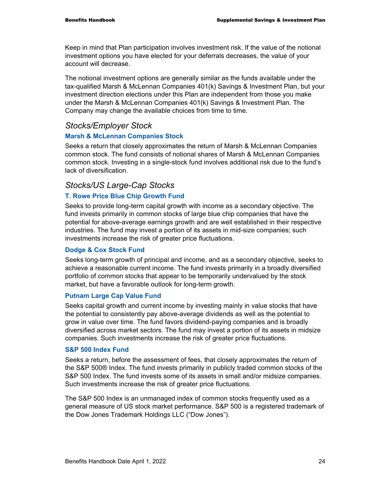Keep in mind that Plan participation involves investment risk. If the value of the notional investment options you have elected for your deferrals decreases, the value of your account will decrease.

The notional investment options are generally similar as the funds available under the tax-qualified Marsh & McLennan Companies 401(k) Savings & Investment Plan, but your investment direction elections under this Plan are independent from those you make under the Marsh & McLennan Companies 401(k) Savings & Investment Plan. The Company may change the available choices from time to time.

#### *Stocks/Employer Stock*

#### **Marsh & McLennan Companies Stock**

Seeks a return that closely approximates the return of Marsh & McLennan Companies common stock. The fund consists of notional shares of Marsh & McLennan Companies common stock. Investing in a single-stock fund involves additional risk due to the fund's lack of diversification.

#### *Stocks/US Large-Cap Stocks*

#### **T. Rowe Price Blue Chip Growth Fund**

Seeks to provide long-term capital growth with income as a secondary objective. The fund invests primarily in common stocks of large blue chip companies that have the potential for above-average earnings growth and are well established in their respective industries. The fund may invest a portion of its assets in mid-size companies; such investments increase the risk of greater price fluctuations.

#### **Dodge & Cox Stock Fund**

Seeks long-term growth of principal and income, and as a secondary objective, seeks to achieve a reasonable current income. The fund invests primarily in a broadly diversified portfolio of common stocks that appear to be temporarily undervalued by the stock market, but have a favorable outlook for long-term growth.

#### **Putnam Large Cap Value Fund**

Seeks capital growth and current income by investing mainly in value stocks that have the potential to consistently pay above-average dividends as well as the potential to grow in value over time. The fund favors dividend-paying companies and is broadly diversified across market sectors. The fund may invest a portion of its assets in midsize companies. Such investments increase the risk of greater price fluctuations.

#### **S&P 500 Index Fund**

Seeks a return, before the assessment of fees, that closely approximates the return of the S&P 500® Index. The fund invests primarily in publicly traded common stocks of the S&P 500 Index. The fund invests some of its assets in small and/or midsize companies. Such investments increase the risk of greater price fluctuations.

The S&P 500 Index is an unmanaged index of common stocks frequently used as a general measure of US stock market performance. S&P 500 is a registered trademark of the Dow Jones Trademark Holdings LLC ("Dow Jones").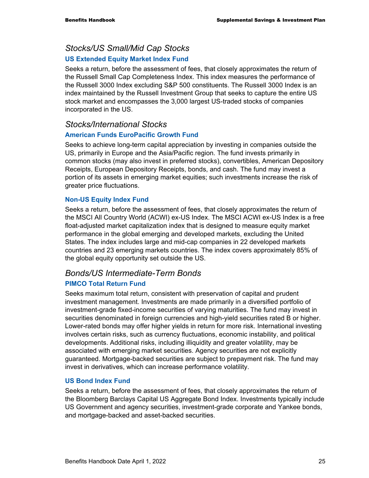## *Stocks/US Small/Mid Cap Stocks*

#### **US Extended Equity Market Index Fund**

Seeks a return, before the assessment of fees, that closely approximates the return of the Russell Small Cap Completeness Index. This index measures the performance of the Russell 3000 Index excluding S&P 500 constituents. The Russell 3000 Index is an index maintained by the Russell Investment Group that seeks to capture the entire US stock market and encompasses the 3,000 largest US-traded stocks of companies incorporated in the US.

#### *Stocks/International Stocks*

#### **American Funds EuroPacific Growth Fund**

Seeks to achieve long-term capital appreciation by investing in companies outside the US, primarily in Europe and the Asia/Pacific region. The fund invests primarily in common stocks (may also invest in preferred stocks), convertibles, American Depository Receipts, European Depository Receipts, bonds, and cash. The fund may invest a portion of its assets in emerging market equities; such investments increase the risk of greater price fluctuations.

#### **Non-US Equity Index Fund**

Seeks a return, before the assessment of fees, that closely approximates the return of the MSCI All Country World (ACWI) ex-US Index. The MSCI ACWI ex-US Index is a free float-adjusted market capitalization index that is designed to measure equity market performance in the global emerging and developed markets, excluding the United States. The index includes large and mid-cap companies in 22 developed markets countries and 23 emerging markets countries. The index covers approximately 85% of the global equity opportunity set outside the US.

## *Bonds/US Intermediate-Term Bonds*

#### **PIMCO Total Return Fund**

Seeks maximum total return, consistent with preservation of capital and prudent investment management. Investments are made primarily in a diversified portfolio of investment-grade fixed-income securities of varying maturities. The fund may invest in securities denominated in foreign currencies and high-yield securities rated B or higher. Lower-rated bonds may offer higher yields in return for more risk. International investing involves certain risks, such as currency fluctuations, economic instability, and political developments. Additional risks, including illiquidity and greater volatility, may be associated with emerging market securities. Agency securities are not explicitly guaranteed. Mortgage-backed securities are subject to prepayment risk. The fund may invest in derivatives, which can increase performance volatility.

#### **US Bond Index Fund**

Seeks a return, before the assessment of fees, that closely approximates the return of the Bloomberg Barclays Capital US Aggregate Bond Index. Investments typically include US Government and agency securities, investment-grade corporate and Yankee bonds, and mortgage-backed and asset-backed securities.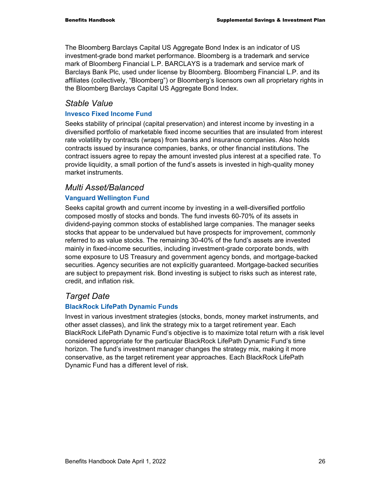The Bloomberg Barclays Capital US Aggregate Bond Index is an indicator of US investment-grade bond market performance. Bloomberg is a trademark and service mark of Bloomberg Financial L.P. BARCLAYS is a trademark and service mark of Barclays Bank Plc, used under license by Bloomberg. Bloomberg Financial L.P. and its affiliates (collectively, "Bloomberg") or Bloomberg's licensors own all proprietary rights in the Bloomberg Barclays Capital US Aggregate Bond Index.

#### *Stable Value*

#### **Invesco Fixed Income Fund**

Seeks stability of principal (capital preservation) and interest income by investing in a diversified portfolio of marketable fixed income securities that are insulated from interest rate volatility by contracts (wraps) from banks and insurance companies. Also holds contracts issued by insurance companies, banks, or other financial institutions. The contract issuers agree to repay the amount invested plus interest at a specified rate. To provide liquidity, a small portion of the fund's assets is invested in high-quality money market instruments.

### *Multi Asset/Balanced*

#### **Vanguard Wellington Fund**

Seeks capital growth and current income by investing in a well-diversified portfolio composed mostly of stocks and bonds. The fund invests 60-70% of its assets in dividend-paying common stocks of established large companies. The manager seeks stocks that appear to be undervalued but have prospects for improvement, commonly referred to as value stocks. The remaining 30-40% of the fund's assets are invested mainly in fixed-income securities, including investment-grade corporate bonds, with some exposure to US Treasury and government agency bonds, and mortgage-backed securities. Agency securities are not explicitly guaranteed. Mortgage-backed securities are subject to prepayment risk. Bond investing is subject to risks such as interest rate, credit, and inflation risk.

## *Target Date*

#### **BlackRock LifePath Dynamic Funds**

Invest in various investment strategies (stocks, bonds, money market instruments, and other asset classes), and link the strategy mix to a target retirement year. Each BlackRock LifePath Dynamic Fund's objective is to maximize total return with a risk level considered appropriate for the particular BlackRock LifePath Dynamic Fund's time horizon. The fund's investment manager changes the strategy mix, making it more conservative, as the target retirement year approaches. Each BlackRock LifePath Dynamic Fund has a different level of risk.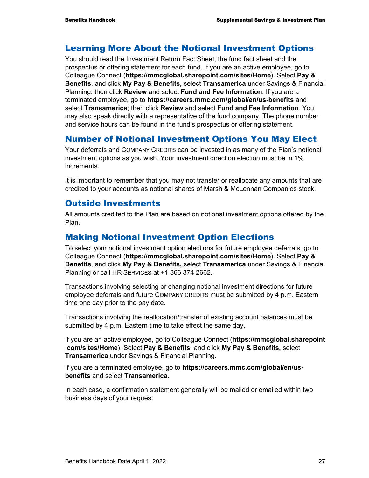#### Learning More About the Notional Investment Options

You should read the Investment Return Fact Sheet, the fund fact sheet and the prospectus or offering statement for each fund. If you are an active employee, go to Colleague Connect (**https://mmcglobal.sharepoint.com/sites/Home**). Select **Pay & Benefits**, and click **My Pay & Benefits,** select **Transamerica** under Savings & Financial Planning; then click **Review** and select **Fund and Fee Information**. If you are a terminated employee, go to **https://careers.mmc.com/global/en/us-benefits** and select **Transamerica**; then click **Review** and select **Fund and Fee Information**. You may also speak directly with a representative of the fund company. The phone number and service hours can be found in the fund's prospectus or offering statement.

## Number of Notional Investment Options You May Elect

Your deferrals and COMPANY CREDITS can be invested in as many of the Plan's notional investment options as you wish. Your investment direction election must be in 1% increments.

It is important to remember that you may not transfer or reallocate any amounts that are credited to your accounts as notional shares of Marsh & McLennan Companies stock.

#### Outside Investments

All amounts credited to the Plan are based on notional investment options offered by the Plan.

#### Making Notional Investment Option Elections

To select your notional investment option elections for future employee deferrals, go to Colleague Connect (**https://mmcglobal.sharepoint.com/sites/Home**). Select **Pay & Benefits**, and click **My Pay & Benefits,** select **Transamerica** under Savings & Financial Planning or call HR SERVICES at +1 866 374 2662.

Transactions involving selecting or changing notional investment directions for future employee deferrals and future COMPANY CREDITS must be submitted by 4 p.m. Eastern time one day prior to the pay date.

Transactions involving the reallocation/transfer of existing account balances must be submitted by 4 p.m. Eastern time to take effect the same day.

If you are an active employee, go to Colleague Connect (**https://mmcglobal.sharepoint .com/sites/Home**). Select **Pay & Benefits**, and click **My Pay & Benefits,** select **Transamerica** under Savings & Financial Planning.

If you are a terminated employee, go to **https://careers.mmc.com/global/en/usbenefits** and select **Transamerica**.

In each case, a confirmation statement generally will be mailed or emailed within two business days of your request.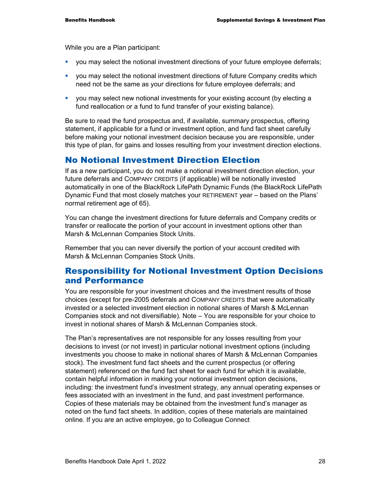While you are a Plan participant:

- you may select the notional investment directions of your future employee deferrals;
- you may select the notional investment directions of future Company credits which need not be the same as your directions for future employee deferrals; and
- you may select new notional investments for your existing account (by electing a fund reallocation or a fund to fund transfer of your existing balance).

Be sure to read the fund prospectus and, if available, summary prospectus, offering statement, if applicable for a fund or investment option, and fund fact sheet carefully before making your notional investment decision because you are responsible, under this type of plan, for gains and losses resulting from your investment direction elections.

#### No Notional Investment Direction Election

If as a new participant, you do not make a notional investment direction election, your future deferrals and COMPANY CREDITS (if applicable) will be notionally invested automatically in one of the BlackRock LifePath Dynamic Funds (the BlackRock LifePath Dynamic Fund that most closely matches your RETIREMENT year – based on the Plans' normal retirement age of 65).

You can change the investment directions for future deferrals and Company credits or transfer or reallocate the portion of your account in investment options other than Marsh & McLennan Companies Stock Units.

Remember that you can never diversify the portion of your account credited with Marsh & McLennan Companies Stock Units.

#### Responsibility for Notional Investment Option Decisions and Performance

You are responsible for your investment choices and the investment results of those choices (except for pre-2005 deferrals and COMPANY CREDITS that were automatically invested or a selected investment election in notional shares of Marsh & McLennan Companies stock and not diversifiable). Note – You are responsible for your choice to invest in notional shares of Marsh & McLennan Companies stock.

The Plan's representatives are not responsible for any losses resulting from your decisions to invest (or not invest) in particular notional investment options (including investments you choose to make in notional shares of Marsh & McLennan Companies stock). The investment fund fact sheets and the current prospectus (or offering statement) referenced on the fund fact sheet for each fund for which it is available, contain helpful information in making your notional investment option decisions, including: the investment fund's investment strategy, any annual operating expenses or fees associated with an investment in the fund, and past investment performance. Copies of these materials may be obtained from the investment fund's manager as noted on the fund fact sheets. In addition, copies of these materials are maintained online. If you are an active employee, go to Colleague Connect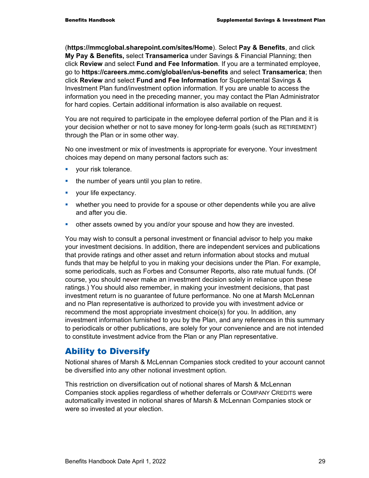(**https://mmcglobal.sharepoint.com/sites/Home**). Select **Pay & Benefits**, and click **My Pay & Benefits,** select **Transamerica** under Savings & Financial Planning; then click **Review** and select **Fund and Fee Information**. If you are a terminated employee, go to **https://careers.mmc.com/global/en/us-benefits** and select **Transamerica**; then click **Review** and select **Fund and Fee Information** for Supplemental Savings & Investment Plan fund/investment option information. If you are unable to access the information you need in the preceding manner, you may contact the Plan Administrator for hard copies. Certain additional information is also available on request.

You are not required to participate in the employee deferral portion of the Plan and it is your decision whether or not to save money for long-term goals (such as RETIREMENT) through the Plan or in some other way.

No one investment or mix of investments is appropriate for everyone. Your investment choices may depend on many personal factors such as:

- **vour risk tolerance.**
- the number of years until you plan to retire.
- **vour life expectancy.**
- whether you need to provide for a spouse or other dependents while you are alive and after you die.
- other assets owned by you and/or your spouse and how they are invested.

You may wish to consult a personal investment or financial advisor to help you make your investment decisions. In addition, there are independent services and publications that provide ratings and other asset and return information about stocks and mutual funds that may be helpful to you in making your decisions under the Plan. For example, some periodicals, such as Forbes and Consumer Reports, also rate mutual funds. (Of course, you should never make an investment decision solely in reliance upon these ratings.) You should also remember, in making your investment decisions, that past investment return is no guarantee of future performance. No one at Marsh McLennan and no Plan representative is authorized to provide you with investment advice or recommend the most appropriate investment choice(s) for you. In addition, any investment information furnished to you by the Plan, and any references in this summary to periodicals or other publications, are solely for your convenience and are not intended to constitute investment advice from the Plan or any Plan representative.

## Ability to Diversify

Notional shares of Marsh & McLennan Companies stock credited to your account cannot be diversified into any other notional investment option.

This restriction on diversification out of notional shares of Marsh & McLennan Companies stock applies regardless of whether deferrals or COMPANY CREDITS were automatically invested in notional shares of Marsh & McLennan Companies stock or were so invested at your election.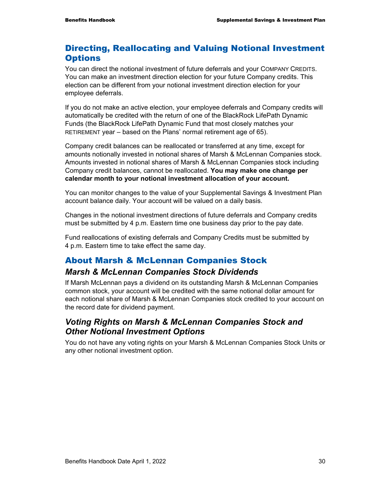## Directing, Reallocating and Valuing Notional Investment **Options**

You can direct the notional investment of future deferrals and your COMPANY CREDITS. You can make an investment direction election for your future Company credits. This election can be different from your notional investment direction election for your employee deferrals.

If you do not make an active election, your employee deferrals and Company credits will automatically be credited with the return of one of the BlackRock LifePath Dynamic Funds (the BlackRock LifePath Dynamic Fund that most closely matches your RETIREMENT year – based on the Plans' normal retirement age of 65).

Company credit balances can be reallocated or transferred at any time, except for amounts notionally invested in notional shares of Marsh & McLennan Companies stock. Amounts invested in notional shares of Marsh & McLennan Companies stock including Company credit balances, cannot be reallocated. **You may make one change per calendar month to your notional investment allocation of your account.**

You can monitor changes to the value of your Supplemental Savings & Investment Plan account balance daily. Your account will be valued on a daily basis.

Changes in the notional investment directions of future deferrals and Company credits must be submitted by 4 p.m. Eastern time one business day prior to the pay date.

Fund reallocations of existing deferrals and Company Credits must be submitted by 4 p.m. Eastern time to take effect the same day.

## About Marsh & McLennan Companies Stock

#### *Marsh & McLennan Companies Stock Dividends*

If Marsh McLennan pays a dividend on its outstanding Marsh & McLennan Companies common stock, your account will be credited with the same notional dollar amount for each notional share of Marsh & McLennan Companies stock credited to your account on the record date for dividend payment.

## *Voting Rights on Marsh & McLennan Companies Stock and Other Notional Investment Options*

You do not have any voting rights on your Marsh & McLennan Companies Stock Units or any other notional investment option.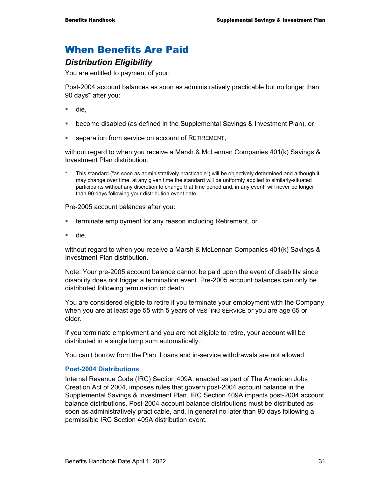## When Benefits Are Paid

#### *Distribution Eligibility*

You are entitled to payment of your:

Post-2004 account balances as soon as administratively practicable but no longer than 90 days\* after you:

- die,
- become disabled (as defined in the Supplemental Savings & Investment Plan), or
- **separation from service on account of RETIREMENT,**

without regard to when you receive a Marsh & McLennan Companies 401(k) Savings & Investment Plan distribution.

This standard ("as soon as administratively practicable") will be objectively determined and although it may change over time, at any given time the standard will be uniformly applied to similarly-situated participants without any discretion to change that time period and, in any event, will never be longer than 90 days following your distribution event date.

Pre-2005 account balances after you:

- **EXECT** terminate employment for any reason including Retirement, or
- die,

without regard to when you receive a Marsh & McLennan Companies 401(k) Savings & Investment Plan distribution.

Note: Your pre-2005 account balance cannot be paid upon the event of disability since disability does not trigger a termination event. Pre-2005 account balances can only be distributed following termination or death.

You are considered eligible to retire if you terminate your employment with the Company when you are at least age 55 with 5 years of VESTING SERVICE or you are age 65 or older.

If you terminate employment and you are not eligible to retire, your account will be distributed in a single lump sum automatically.

You can't borrow from the Plan. Loans and in-service withdrawals are not allowed.

#### **Post-2004 Distributions**

Internal Revenue Code (IRC) Section 409A, enacted as part of The American Jobs Creation Act of 2004, imposes rules that govern post-2004 account balance in the Supplemental Savings & Investment Plan. IRC Section 409A impacts post-2004 account balance distributions. Post-2004 account balance distributions must be distributed as soon as administratively practicable, and, in general no later than 90 days following a permissible IRC Section 409A distribution event.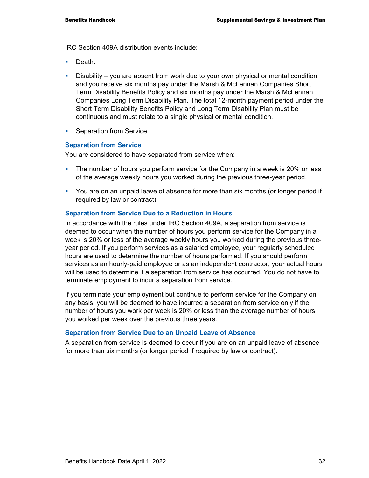IRC Section 409A distribution events include:

- Death.
- Disability you are absent from work due to your own physical or mental condition and you receive six months pay under the Marsh & McLennan Companies Short Term Disability Benefits Policy and six months pay under the Marsh & McLennan Companies Long Term Disability Plan. The total 12-month payment period under the Short Term Disability Benefits Policy and Long Term Disability Plan must be continuous and must relate to a single physical or mental condition.
- **Separation from Service.**

#### **Separation from Service**

You are considered to have separated from service when:

- The number of hours you perform service for the Company in a week is 20% or less of the average weekly hours you worked during the previous three-year period.
- You are on an unpaid leave of absence for more than six months (or longer period if required by law or contract).

#### **Separation from Service Due to a Reduction in Hours**

In accordance with the rules under IRC Section 409A, a separation from service is deemed to occur when the number of hours you perform service for the Company in a week is 20% or less of the average weekly hours you worked during the previous threeyear period. If you perform services as a salaried employee, your regularly scheduled hours are used to determine the number of hours performed. If you should perform services as an hourly-paid employee or as an independent contractor, your actual hours will be used to determine if a separation from service has occurred. You do not have to terminate employment to incur a separation from service.

If you terminate your employment but continue to perform service for the Company on any basis, you will be deemed to have incurred a separation from service only if the number of hours you work per week is 20% or less than the average number of hours you worked per week over the previous three years.

#### **Separation from Service Due to an Unpaid Leave of Absence**

A separation from service is deemed to occur if you are on an unpaid leave of absence for more than six months (or longer period if required by law or contract).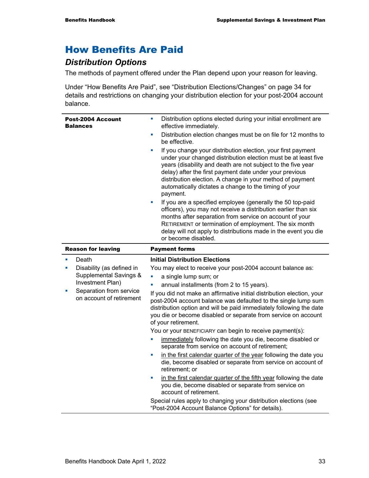## How Benefits Are Paid

## *Distribution Options*

The methods of payment offered under the Plan depend upon your reason for leaving.

Under "How Benefits Are Paid", see "Distribution Elections/Changes" on page 34 for details and restrictions on changing your distribution election for your post-2004 account balance.

|                           | <b>Post-2004 Account</b><br><b>Balances</b>         | ×<br>× | Distribution options elected during your initial enrollment are<br>effective immediately.<br>Distribution election changes must be on file for 12 months to<br>be effective.<br>If you change your distribution election, your first payment<br>under your changed distribution election must be at least five<br>years (disability and death are not subject to the five year<br>delay) after the first payment date under your previous<br>distribution election. A change in your method of payment<br>automatically dictates a change to the timing of your<br>payment.<br>If you are a specified employee (generally the 50 top-paid<br>officers), you may not receive a distribution earlier than six<br>months after separation from service on account of your<br>RETIREMENT or termination of employment. The six month<br>delay will not apply to distributions made in the event you die<br>or become disabled. |
|---------------------------|-----------------------------------------------------|--------|----------------------------------------------------------------------------------------------------------------------------------------------------------------------------------------------------------------------------------------------------------------------------------------------------------------------------------------------------------------------------------------------------------------------------------------------------------------------------------------------------------------------------------------------------------------------------------------------------------------------------------------------------------------------------------------------------------------------------------------------------------------------------------------------------------------------------------------------------------------------------------------------------------------------------|
| <b>Reason for leaving</b> |                                                     |        | <b>Payment forms</b>                                                                                                                                                                                                                                                                                                                                                                                                                                                                                                                                                                                                                                                                                                                                                                                                                                                                                                       |
| $\mathbf{r}$              | Death                                               |        | <b>Initial Distribution Elections</b>                                                                                                                                                                                                                                                                                                                                                                                                                                                                                                                                                                                                                                                                                                                                                                                                                                                                                      |
| ×                         | Disability (as defined in                           |        | You may elect to receive your post-2004 account balance as:                                                                                                                                                                                                                                                                                                                                                                                                                                                                                                                                                                                                                                                                                                                                                                                                                                                                |
|                           | Supplemental Savings &                              |        | a single lump sum; or                                                                                                                                                                                                                                                                                                                                                                                                                                                                                                                                                                                                                                                                                                                                                                                                                                                                                                      |
|                           | Investment Plan)                                    |        | annual installments (from 2 to 15 years).                                                                                                                                                                                                                                                                                                                                                                                                                                                                                                                                                                                                                                                                                                                                                                                                                                                                                  |
|                           | Separation from service<br>on account of retirement |        | If you did not make an affirmative initial distribution election, your<br>وروالها والمستراه المسابط والمستقط والمستقط والمستقط والمستنف والمستنف والمستنف والمستنفذ                                                                                                                                                                                                                                                                                                                                                                                                                                                                                                                                                                                                                                                                                                                                                        |

post-2004 account balance was defaulted to the single lump sum distribution option and will be paid immediately following the date you die or become disabled or separate from service on account of your retirement.

You or your BENEFICIARY can begin to receive payment(s):

- immediately following the date you die, become disabled or separate from service on account of retirement;
- in the first calendar quarter of the year following the date you die, become disabled or separate from service on account of retirement; or
- in the first calendar quarter of the fifth year following the date you die, become disabled or separate from service on account of retirement.

Special rules apply to changing your distribution elections (see "Post-2004 Account Balance Options" for details).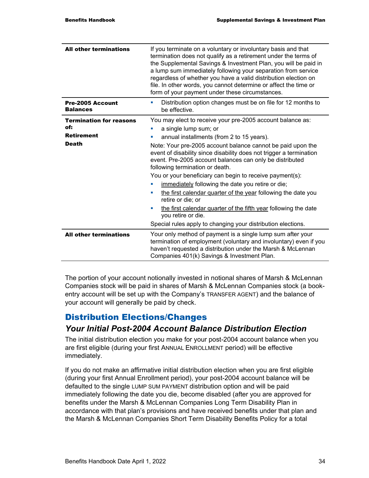| <b>All other terminations</b>                                              | If you terminate on a voluntary or involuntary basis and that<br>termination does not qualify as a retirement under the terms of<br>the Supplemental Savings & Investment Plan, you will be paid in<br>a lump sum immediately following your separation from service<br>regardless of whether you have a valid distribution election on<br>file. In other words, you cannot determine or affect the time or<br>form of your payment under these circumstances.                                                                                                                                                                                                                                                                                          |  |
|----------------------------------------------------------------------------|---------------------------------------------------------------------------------------------------------------------------------------------------------------------------------------------------------------------------------------------------------------------------------------------------------------------------------------------------------------------------------------------------------------------------------------------------------------------------------------------------------------------------------------------------------------------------------------------------------------------------------------------------------------------------------------------------------------------------------------------------------|--|
| <b>Pre-2005 Account</b><br><b>Balances</b>                                 | Distribution option changes must be on file for 12 months to<br>×<br>be effective.                                                                                                                                                                                                                                                                                                                                                                                                                                                                                                                                                                                                                                                                      |  |
| <b>Termination for reasons</b><br>of:<br><b>Retirement</b><br><b>Death</b> | You may elect to receive your pre-2005 account balance as:<br>a single lump sum; or<br>annual installments (from 2 to 15 years).<br>Note: Your pre-2005 account balance cannot be paid upon the<br>event of disability since disability does not trigger a termination<br>event. Pre-2005 account balances can only be distributed<br>following termination or death.<br>You or your beneficiary can begin to receive payment(s):<br>immediately following the date you retire or die;<br>the first calendar quarter of the year following the date you<br>$\blacksquare$<br>retire or die; or<br>the first calendar quarter of the fifth year following the date<br>you retire or die.<br>Special rules apply to changing your distribution elections. |  |
| <b>All other terminations</b>                                              | Your only method of payment is a single lump sum after your<br>termination of employment (voluntary and involuntary) even if you<br>haven't requested a distribution under the Marsh & McLennan<br>Companies 401(k) Savings & Investment Plan.                                                                                                                                                                                                                                                                                                                                                                                                                                                                                                          |  |

The portion of your account notionally invested in notional shares of Marsh & McLennan Companies stock will be paid in shares of Marsh & McLennan Companies stock (a bookentry account will be set up with the Company's TRANSFER AGENT) and the balance of your account will generally be paid by check.

#### Distribution Elections/Changes

#### *Your Initial Post-2004 Account Balance Distribution Election*

The initial distribution election you make for your post-2004 account balance when you are first eligible (during your first ANNUAL ENROLLMENT period) will be effective immediately.

If you do not make an affirmative initial distribution election when you are first eligible (during your first Annual Enrollment period), your post-2004 account balance will be defaulted to the single LUMP SUM PAYMENT distribution option and will be paid immediately following the date you die, become disabled (after you are approved for benefits under the Marsh & McLennan Companies Long Term Disability Plan in accordance with that plan's provisions and have received benefits under that plan and the Marsh & McLennan Companies Short Term Disability Benefits Policy for a total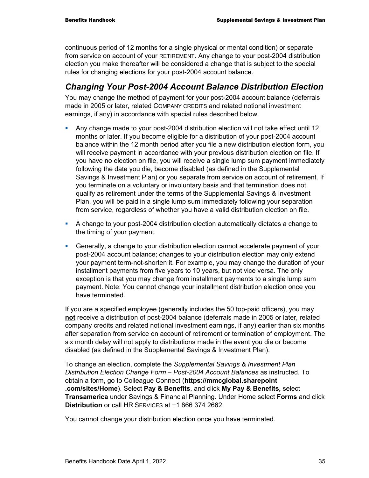continuous period of 12 months for a single physical or mental condition) or separate from service on account of your RETIREMENT. Any change to your post-2004 distribution election you make thereafter will be considered a change that is subject to the special rules for changing elections for your post-2004 account balance.

## *Changing Your Post-2004 Account Balance Distribution Election*

You may change the method of payment for your post-2004 account balance (deferrals made in 2005 or later, related COMPANY CREDITS and related notional investment earnings, if any) in accordance with special rules described below.

- Any change made to your post-2004 distribution election will not take effect until 12 months or later. If you become eligible for a distribution of your post-2004 account balance within the 12 month period after you file a new distribution election form, you will receive payment in accordance with your previous distribution election on file. If you have no election on file, you will receive a single lump sum payment immediately following the date you die, become disabled (as defined in the Supplemental Savings & Investment Plan) or you separate from service on account of retirement. If you terminate on a voluntary or involuntary basis and that termination does not qualify as retirement under the terms of the Supplemental Savings & Investment Plan, you will be paid in a single lump sum immediately following your separation from service, regardless of whether you have a valid distribution election on file.
- A change to your post-2004 distribution election automatically dictates a change to the timing of your payment.
- Generally, a change to your distribution election cannot accelerate payment of your post-2004 account balance; changes to your distribution election may only extend your payment term-not-shorten it. For example, you may change the duration of your installment payments from five years to 10 years, but not vice versa. The only exception is that you may change from installment payments to a single lump sum payment. Note: You cannot change your installment distribution election once you have terminated.

If you are a specified employee (generally includes the 50 top-paid officers), you may **not** receive a distribution of post-2004 balance (deferrals made in 2005 or later, related company credits and related notional investment earnings, if any) earlier than six months after separation from service on account of retirement or termination of employment. The six month delay will not apply to distributions made in the event you die or become disabled (as defined in the Supplemental Savings & Investment Plan).

To change an election, complete the *Supplemental Savings & Investment Plan Distribution Election Change Form – Post-2004 Account Balances* as instructed. To obtain a form, go to Colleague Connect (**https://mmcglobal.sharepoint .com/sites/Home**). Select **Pay & Benefits**, and click **My Pay & Benefits,** select **Transamerica** under Savings & Financial Planning. Under Home select **Forms** and click **Distribution** or call HR SERVICES at +1 866 374 2662.

You cannot change your distribution election once you have terminated.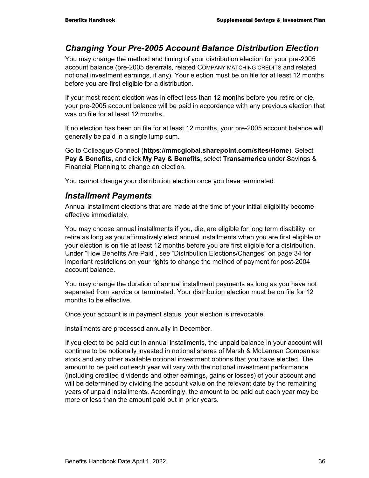## *Changing Your Pre-2005 Account Balance Distribution Election*

You may change the method and timing of your distribution election for your pre-2005 account balance (pre-2005 deferrals, related COMPANY MATCHING CREDITS and related notional investment earnings, if any). Your election must be on file for at least 12 months before you are first eligible for a distribution.

If your most recent election was in effect less than 12 months before you retire or die, your pre-2005 account balance will be paid in accordance with any previous election that was on file for at least 12 months.

If no election has been on file for at least 12 months, your pre-2005 account balance will generally be paid in a single lump sum.

Go to Colleague Connect (**https://mmcglobal.sharepoint.com/sites/Home**). Select **Pay & Benefits**, and click **My Pay & Benefits,** select **Transamerica** under Savings & Financial Planning to change an election.

You cannot change your distribution election once you have terminated.

#### *Installment Payments*

Annual installment elections that are made at the time of your initial eligibility become effective immediately.

You may choose annual installments if you, die, are eligible for long term disability, or retire as long as you affirmatively elect annual installments when you are first eligible or your election is on file at least 12 months before you are first eligible for a distribution. Under "How Benefits Are Paid", see "Distribution Elections/Changes" on page 34 for important restrictions on your rights to change the method of payment for post-2004 account balance.

You may change the duration of annual installment payments as long as you have not separated from service or terminated. Your distribution election must be on file for 12 months to be effective.

Once your account is in payment status, your election is irrevocable.

Installments are processed annually in December.

If you elect to be paid out in annual installments, the unpaid balance in your account will continue to be notionally invested in notional shares of Marsh & McLennan Companies stock and any other available notional investment options that you have elected. The amount to be paid out each year will vary with the notional investment performance (including credited dividends and other earnings, gains or losses) of your account and will be determined by dividing the account value on the relevant date by the remaining years of unpaid installments. Accordingly, the amount to be paid out each year may be more or less than the amount paid out in prior years.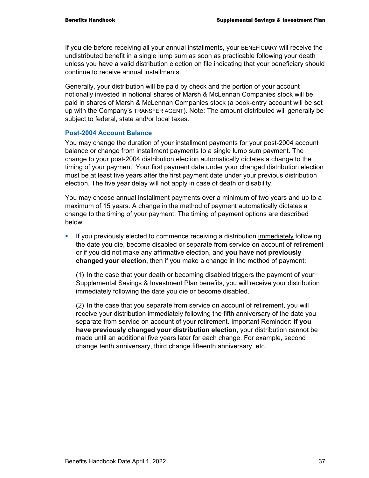If you die before receiving all your annual installments, your BENEFICIARY will receive the undistributed benefit in a single lump sum as soon as practicable following your death unless you have a valid distribution election on file indicating that your beneficiary should continue to receive annual installments.

Generally, your distribution will be paid by check and the portion of your account notionally invested in notional shares of Marsh & McLennan Companies stock will be paid in shares of Marsh & McLennan Companies stock (a book-entry account will be set up with the Company's TRANSFER AGENT). Note: The amount distributed will generally be subject to federal, state and/or local taxes.

#### **Post-2004 Account Balance**

You may change the duration of your installment payments for your post-2004 account balance or change from installment payments to a single lump sum payment. The change to your post-2004 distribution election automatically dictates a change to the timing of your payment. Your first payment date under your changed distribution election must be at least five years after the first payment date under your previous distribution election. The five year delay will not apply in case of death or disability.

You may choose annual installment payments over a minimum of two years and up to a maximum of 15 years. A change in the method of payment automatically dictates a change to the timing of your payment. The timing of payment options are described below.

**If you previously elected to commence receiving a distribution immediately following** the date you die, become disabled or separate from service on account of retirement or if you did not make any affirmative election, and **you have not previously changed your election**, then if you make a change in the method of payment:

(1) In the case that your death or becoming disabled triggers the payment of your Supplemental Savings & Investment Plan benefits, you will receive your distribution immediately following the date you die or become disabled.

(2) In the case that you separate from service on account of retirement, you will receive your distribution immediately following the fifth anniversary of the date you separate from service on account of your retirement. Important Reminder: **If you have previously changed your distribution election**, your distribution cannot be made until an additional five years later for each change. For example, second change tenth anniversary, third change fifteenth anniversary, etc.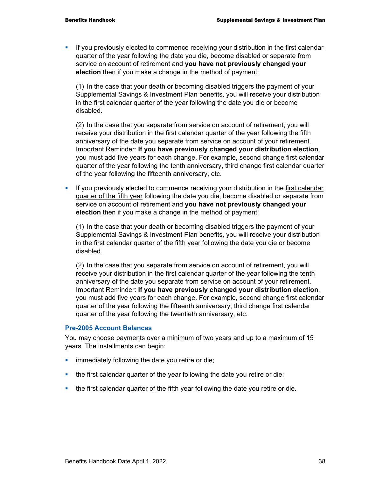If you previously elected to commence receiving your distribution in the first calendar quarter of the year following the date you die, become disabled or separate from service on account of retirement and **you have not previously changed your election** then if you make a change in the method of payment:

(1) In the case that your death or becoming disabled triggers the payment of your Supplemental Savings & Investment Plan benefits, you will receive your distribution in the first calendar quarter of the year following the date you die or become disabled.

(2) In the case that you separate from service on account of retirement, you will receive your distribution in the first calendar quarter of the year following the fifth anniversary of the date you separate from service on account of your retirement. Important Reminder: **If you have previously changed your distribution election**, you must add five years for each change. For example, second change first calendar quarter of the year following the tenth anniversary, third change first calendar quarter of the year following the fifteenth anniversary, etc.

If you previously elected to commence receiving your distribution in the first calendar quarter of the fifth year following the date you die, become disabled or separate from service on account of retirement and **you have not previously changed your election** then if you make a change in the method of payment:

(1) In the case that your death or becoming disabled triggers the payment of your Supplemental Savings & Investment Plan benefits, you will receive your distribution in the first calendar quarter of the fifth year following the date you die or become disabled.

(2) In the case that you separate from service on account of retirement, you will receive your distribution in the first calendar quarter of the year following the tenth anniversary of the date you separate from service on account of your retirement. Important Reminder: **If you have previously changed your distribution election**, you must add five years for each change. For example, second change first calendar quarter of the year following the fifteenth anniversary, third change first calendar quarter of the year following the twentieth anniversary, etc.

#### **Pre-2005 Account Balances**

You may choose payments over a minimum of two years and up to a maximum of 15 years. The installments can begin:

- **EXED** immediately following the date you retire or die;
- the first calendar quarter of the year following the date you retire or die;
- the first calendar quarter of the fifth year following the date you retire or die.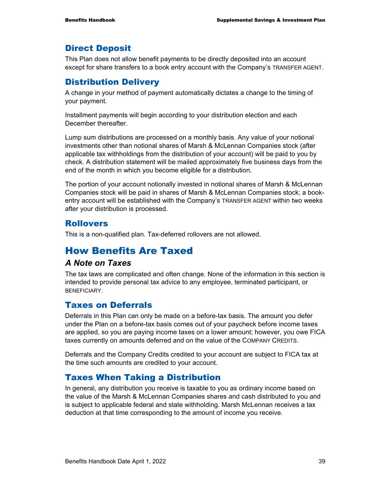### Direct Deposit

This Plan does not allow benefit payments to be directly deposited into an account except for share transfers to a book entry account with the Company's TRANSFER AGENT.

### Distribution Delivery

A change in your method of payment automatically dictates a change to the timing of your payment.

Installment payments will begin according to your distribution election and each December thereafter.

Lump sum distributions are processed on a monthly basis. Any value of your notional investments other than notional shares of Marsh & McLennan Companies stock (after applicable tax withholdings from the distribution of your account) will be paid to you by check. A distribution statement will be mailed approximately five business days from the end of the month in which you become eligible for a distribution.

The portion of your account notionally invested in notional shares of Marsh & McLennan Companies stock will be paid in shares of Marsh & McLennan Companies stock; a bookentry account will be established with the Company's TRANSFER AGENT within two weeks after your distribution is processed.

## Rollovers

This is a non-qualified plan. Tax-deferred rollovers are not allowed.

## How Benefits Are Taxed

#### *A Note on Taxes*

The tax laws are complicated and often change. None of the information in this section is intended to provide personal tax advice to any employee, terminated participant, or **BENEFICIARY** 

## Taxes on Deferrals

Deferrals in this Plan can only be made on a before-tax basis. The amount you defer under the Plan on a before-tax basis comes out of your paycheck before income taxes are applied, so you are paying income taxes on a lower amount; however, you owe FICA taxes currently on amounts deferred and on the value of the COMPANY CREDITS.

Deferrals and the Company Credits credited to your account are subject to FICA tax at the time such amounts are credited to your account.

## Taxes When Taking a Distribution

In general, any distribution you receive is taxable to you as ordinary income based on the value of the Marsh & McLennan Companies shares and cash distributed to you and is subject to applicable federal and state withholding. Marsh McLennan receives a tax deduction at that time corresponding to the amount of income you receive.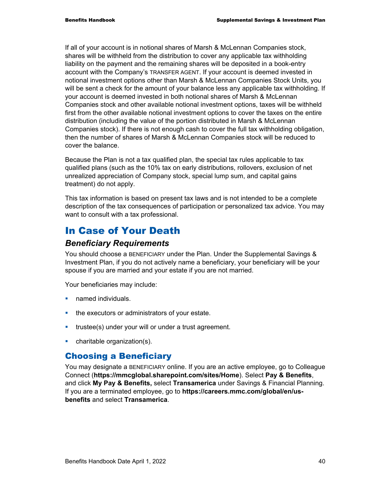If all of your account is in notional shares of Marsh & McLennan Companies stock, shares will be withheld from the distribution to cover any applicable tax withholding liability on the payment and the remaining shares will be deposited in a book-entry account with the Company's TRANSFER AGENT. If your account is deemed invested in notional investment options other than Marsh & McLennan Companies Stock Units, you will be sent a check for the amount of your balance less any applicable tax withholding. If your account is deemed invested in both notional shares of Marsh & McLennan Companies stock and other available notional investment options, taxes will be withheld first from the other available notional investment options to cover the taxes on the entire distribution (including the value of the portion distributed in Marsh & McLennan Companies stock). If there is not enough cash to cover the full tax withholding obligation, then the number of shares of Marsh & McLennan Companies stock will be reduced to cover the balance.

Because the Plan is not a tax qualified plan, the special tax rules applicable to tax qualified plans (such as the 10% tax on early distributions, rollovers, exclusion of net unrealized appreciation of Company stock, special lump sum, and capital gains treatment) do not apply.

This tax information is based on present tax laws and is not intended to be a complete description of the tax consequences of participation or personalized tax advice. You may want to consult with a tax professional.

## In Case of Your Death

#### *Beneficiary Requirements*

You should choose a BENEFICIARY under the Plan. Under the Supplemental Savings & Investment Plan, if you do not actively name a beneficiary, your beneficiary will be your spouse if you are married and your estate if you are not married.

Your beneficiaries may include:

- **named individuals.**
- **the executors or administrators of your estate.**
- **trustee(s) under your will or under a trust agreement.**
- **•** charitable organization(s).

## Choosing a Beneficiary

You may designate a BENEFICIARY online. If you are an active employee, go to Colleague Connect (**https://mmcglobal.sharepoint.com/sites/Home**). Select **Pay & Benefits**, and click **My Pay & Benefits,** select **Transamerica** under Savings & Financial Planning. If you are a terminated employee, go to **https://careers.mmc.com/global/en/usbenefits** and select **Transamerica**.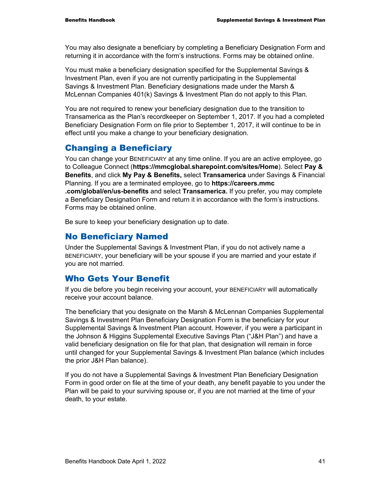You may also designate a beneficiary by completing a Beneficiary Designation Form and returning it in accordance with the form's instructions. Forms may be obtained online.

You must make a beneficiary designation specified for the Supplemental Savings & Investment Plan, even if you are not currently participating in the Supplemental Savings & Investment Plan. Beneficiary designations made under the Marsh & McLennan Companies 401(k) Savings & Investment Plan do not apply to this Plan.

You are not required to renew your beneficiary designation due to the transition to Transamerica as the Plan's recordkeeper on September 1, 2017. If you had a completed Beneficiary Designation Form on file prior to September 1, 2017, it will continue to be in effect until you make a change to your beneficiary designation.

## Changing a Beneficiary

You can change your BENEFICIARY at any time online. If you are an active employee, go to Colleague Connect (**https://mmcglobal.sharepoint.com/sites/Home**). Select **Pay & Benefits**, and click **My Pay & Benefits,** select **Transamerica** under Savings & Financial Planning. If you are a terminated employee, go to **https://careers.mmc .com/global/en/us-benefits** and select **Transamerica.** If you prefer, you may complete a Beneficiary Designation Form and return it in accordance with the form's instructions. Forms may be obtained online.

Be sure to keep your beneficiary designation up to date.

## No Beneficiary Named

Under the Supplemental Savings & Investment Plan, if you do not actively name a BENEFICIARY, your beneficiary will be your spouse if you are married and your estate if you are not married.

#### Who Gets Your Benefit

If you die before you begin receiving your account, your BENEFICIARY will automatically receive your account balance.

The beneficiary that you designate on the Marsh & McLennan Companies Supplemental Savings & Investment Plan Beneficiary Designation Form is the beneficiary for your Supplemental Savings & Investment Plan account. However, if you were a participant in the Johnson & Higgins Supplemental Executive Savings Plan ("J&H Plan") and have a valid beneficiary designation on file for that plan, that designation will remain in force until changed for your Supplemental Savings & Investment Plan balance (which includes the prior J&H Plan balance).

If you do not have a Supplemental Savings & Investment Plan Beneficiary Designation Form in good order on file at the time of your death, any benefit payable to you under the Plan will be paid to your surviving spouse or, if you are not married at the time of your death, to your estate.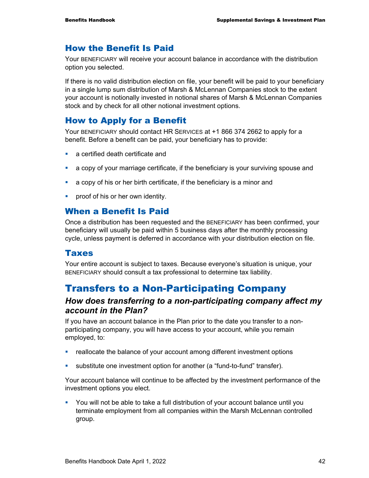## How the Benefit Is Paid

Your BENEFICIARY will receive your account balance in accordance with the distribution option you selected.

If there is no valid distribution election on file, your benefit will be paid to your beneficiary in a single lump sum distribution of Marsh & McLennan Companies stock to the extent your account is notionally invested in notional shares of Marsh & McLennan Companies stock and by check for all other notional investment options.

### How to Apply for a Benefit

Your BENEFICIARY should contact HR SERVICES at +1 866 374 2662 to apply for a benefit. Before a benefit can be paid, your beneficiary has to provide:

- **a** certified death certificate and
- a copy of your marriage certificate, if the beneficiary is your surviving spouse and
- a copy of his or her birth certificate, if the beneficiary is a minor and
- **•** proof of his or her own identity.

#### When a Benefit Is Paid

Once a distribution has been requested and the BENEFICIARY has been confirmed, your beneficiary will usually be paid within 5 business days after the monthly processing cycle, unless payment is deferred in accordance with your distribution election on file.

#### Taxes

Your entire account is subject to taxes. Because everyone's situation is unique, your BENEFICIARY should consult a tax professional to determine tax liability.

## Transfers to a Non-Participating Company

#### *How does transferring to a non-participating company affect my account in the Plan?*

If you have an account balance in the Plan prior to the date you transfer to a nonparticipating company, you will have access to your account, while you remain employed, to:

- reallocate the balance of your account among different investment options
- substitute one investment option for another (a "fund-to-fund" transfer).

Your account balance will continue to be affected by the investment performance of the investment options you elect.

 You will not be able to take a full distribution of your account balance until you terminate employment from all companies within the Marsh McLennan controlled group.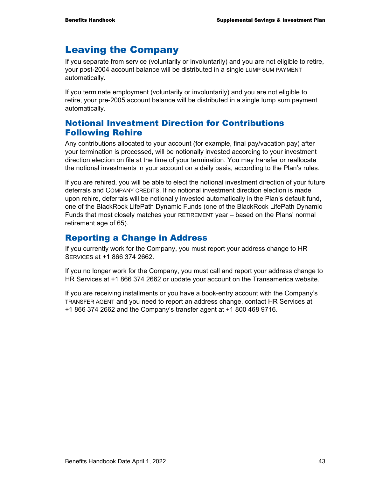## Leaving the Company

If you separate from service (voluntarily or involuntarily) and you are not eligible to retire, your post-2004 account balance will be distributed in a single LUMP SUM PAYMENT automatically.

If you terminate employment (voluntarily or involuntarily) and you are not eligible to retire, your pre-2005 account balance will be distributed in a single lump sum payment automatically.

## Notional Investment Direction for Contributions Following Rehire

Any contributions allocated to your account (for example, final pay/vacation pay) after your termination is processed, will be notionally invested according to your investment direction election on file at the time of your termination. You may transfer or reallocate the notional investments in your account on a daily basis, according to the Plan's rules.

If you are rehired, you will be able to elect the notional investment direction of your future deferrals and COMPANY CREDITS. If no notional investment direction election is made upon rehire, deferrals will be notionally invested automatically in the Plan's default fund, one of the BlackRock LifePath Dynamic Funds (one of the BlackRock LifePath Dynamic Funds that most closely matches your RETIREMENT year – based on the Plans' normal retirement age of 65).

### Reporting a Change in Address

If you currently work for the Company, you must report your address change to HR SERVICES at +1 866 374 2662.

If you no longer work for the Company, you must call and report your address change to HR Services at +1 866 374 2662 or update your account on the Transamerica website.

If you are receiving installments or you have a book-entry account with the Company's TRANSFER AGENT and you need to report an address change, contact HR Services at +1 866 374 2662 and the Company's transfer agent at +1 800 468 9716.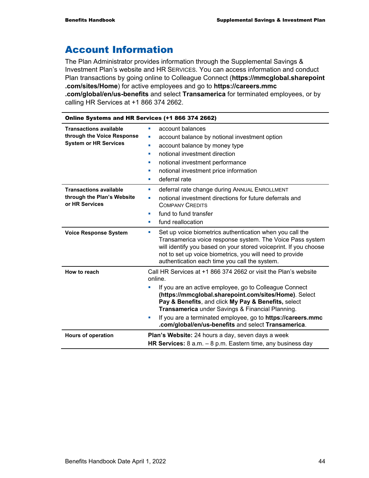## Account Information

The Plan Administrator provides information through the Supplemental Savings & Investment Plan's website and HR SERVICES. You can access information and conduct Plan transactions by going online to Colleague Connect (**https://mmcglobal.sharepoint .com/sites/Home**) for active employees and go to **https://careers.mmc .com/global/en/us-benefits** and select **Transamerica** for terminated employees, or by calling HR Services at +1 866 374 2662.

| Online Systems and HR Services (+1 866 374 2662)                                            |                                                                                                                                                                                                                                                                                                                                                                                                                                      |  |
|---------------------------------------------------------------------------------------------|--------------------------------------------------------------------------------------------------------------------------------------------------------------------------------------------------------------------------------------------------------------------------------------------------------------------------------------------------------------------------------------------------------------------------------------|--|
| <b>Transactions available</b><br>through the Voice Response<br><b>System or HR Services</b> | account balances<br>п<br>account balance by notional investment option<br>account balance by money type<br>ш<br>notional investment direction<br>×<br>notional investment performance<br>notional investment price information<br>ш<br>deferral rate<br>×                                                                                                                                                                            |  |
| <b>Transactions available</b><br>through the Plan's Website<br>or HR Services               | deferral rate change during ANNUAL ENROLLMENT<br>notional investment directions for future deferrals and<br>×<br><b>COMPANY CREDITS</b><br>fund to fund transfer<br>п<br>fund reallocation<br>u,                                                                                                                                                                                                                                     |  |
| <b>Voice Response System</b>                                                                | Set up voice biometrics authentication when you call the<br>×<br>Transamerica voice response system. The Voice Pass system<br>will identify you based on your stored voiceprint. If you choose<br>not to set up voice biometrics, you will need to provide<br>authentication each time you call the system.                                                                                                                          |  |
| How to reach                                                                                | Call HR Services at +1 866 374 2662 or visit the Plan's website<br>online.<br>If you are an active employee, go to Colleague Connect<br>(https://mmcglobal.sharepoint.com/sites/Home). Select<br>Pay & Benefits, and click My Pay & Benefits, select<br>Transamerica under Savings & Financial Planning.<br>If you are a terminated employee, go to https://careers.mmc<br>u,<br>.com/global/en/us-benefits and select Transamerica. |  |
| <b>Hours of operation</b>                                                                   | <b>Plan's Website:</b> 24 hours a day, seven days a week<br>HR Services: $8$ a.m. $-8$ p.m. Eastern time, any business day                                                                                                                                                                                                                                                                                                           |  |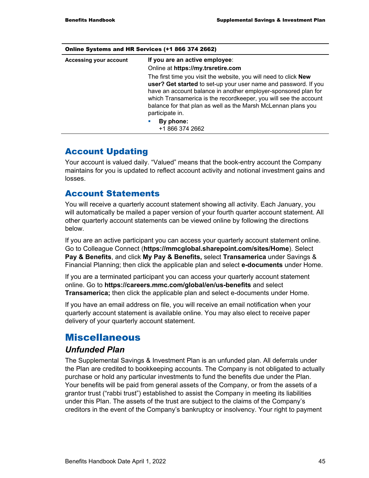| <b>UTHE SYSTEMS AND THE SERVICES</b> (T.I. 000 374 2002) |                                                                                                                                                                                                                                                                                                                                                                      |  |
|----------------------------------------------------------|----------------------------------------------------------------------------------------------------------------------------------------------------------------------------------------------------------------------------------------------------------------------------------------------------------------------------------------------------------------------|--|
| Accessing your account                                   | If you are an active employee:                                                                                                                                                                                                                                                                                                                                       |  |
|                                                          | Online at https://my.trsretire.com                                                                                                                                                                                                                                                                                                                                   |  |
|                                                          | The first time you visit the website, you will need to click <b>New</b><br>user? Get started to set-up your user name and password. If you<br>have an account balance in another employer-sponsored plan for<br>which Transamerica is the recordkeeper, you will see the account<br>balance for that plan as well as the Marsh McLennan plans you<br>participate in. |  |
|                                                          | By phone:<br>u.<br>+1 866 374 2662                                                                                                                                                                                                                                                                                                                                   |  |

#### Online Systems and HR Services (+1 866 374 2662)

## Account Updating

Your account is valued daily. "Valued" means that the book-entry account the Company maintains for you is updated to reflect account activity and notional investment gains and losses.

#### Account Statements

You will receive a quarterly account statement showing all activity. Each January, you will automatically be mailed a paper version of your fourth quarter account statement. All other quarterly account statements can be viewed online by following the directions below.

If you are an active participant you can access your quarterly account statement online. Go to Colleague Connect (**https://mmcglobal.sharepoint.com/sites/Home**). Select **Pay & Benefits**, and click **My Pay & Benefits,** select **Transamerica** under Savings & Financial Planning; then click the applicable plan and select **e-documents** under Home.

If you are a terminated participant you can access your quarterly account statement online. Go to **https://careers.mmc.com/global/en/us-benefits** and select **Transamerica;** then click the applicable plan and select e-documents under Home.

If you have an email address on file, you will receive an email notification when your quarterly account statement is available online. You may also elect to receive paper delivery of your quarterly account statement.

## Miscellaneous

#### *Unfunded Plan*

The Supplemental Savings & Investment Plan is an unfunded plan. All deferrals under the Plan are credited to bookkeeping accounts. The Company is not obligated to actually purchase or hold any particular investments to fund the benefits due under the Plan. Your benefits will be paid from general assets of the Company, or from the assets of a grantor trust ("rabbi trust") established to assist the Company in meeting its liabilities under this Plan. The assets of the trust are subject to the claims of the Company's creditors in the event of the Company's bankruptcy or insolvency. Your right to payment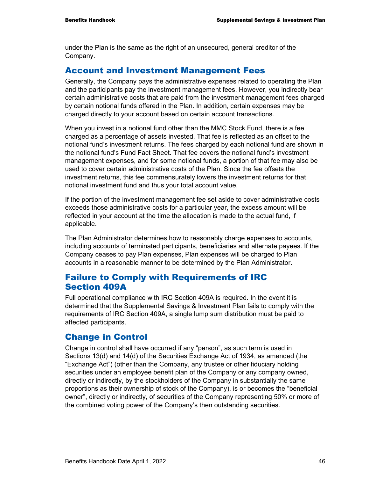under the Plan is the same as the right of an unsecured, general creditor of the Company.

#### Account and Investment Management Fees

Generally, the Company pays the administrative expenses related to operating the Plan and the participants pay the investment management fees. However, you indirectly bear certain administrative costs that are paid from the investment management fees charged by certain notional funds offered in the Plan. In addition, certain expenses may be charged directly to your account based on certain account transactions.

When you invest in a notional fund other than the MMC Stock Fund, there is a fee charged as a percentage of assets invested. That fee is reflected as an offset to the notional fund's investment returns. The fees charged by each notional fund are shown in the notional fund's Fund Fact Sheet. That fee covers the notional fund's investment management expenses, and for some notional funds, a portion of that fee may also be used to cover certain administrative costs of the Plan. Since the fee offsets the investment returns, this fee commensurately lowers the investment returns for that notional investment fund and thus your total account value.

If the portion of the investment management fee set aside to cover administrative costs exceeds those administrative costs for a particular year, the excess amount will be reflected in your account at the time the allocation is made to the actual fund, if applicable.

The Plan Administrator determines how to reasonably charge expenses to accounts, including accounts of terminated participants, beneficiaries and alternate payees. If the Company ceases to pay Plan expenses, Plan expenses will be charged to Plan accounts in a reasonable manner to be determined by the Plan Administrator.

### Failure to Comply with Requirements of IRC Section 409A

Full operational compliance with IRC Section 409A is required. In the event it is determined that the Supplemental Savings & Investment Plan fails to comply with the requirements of IRC Section 409A, a single lump sum distribution must be paid to affected participants.

#### Change in Control

Change in control shall have occurred if any "person", as such term is used in Sections 13(d) and 14(d) of the Securities Exchange Act of 1934, as amended (the "Exchange Act") (other than the Company, any trustee or other fiduciary holding securities under an employee benefit plan of the Company or any company owned, directly or indirectly, by the stockholders of the Company in substantially the same proportions as their ownership of stock of the Company), is or becomes the "beneficial owner", directly or indirectly, of securities of the Company representing 50% or more of the combined voting power of the Company's then outstanding securities.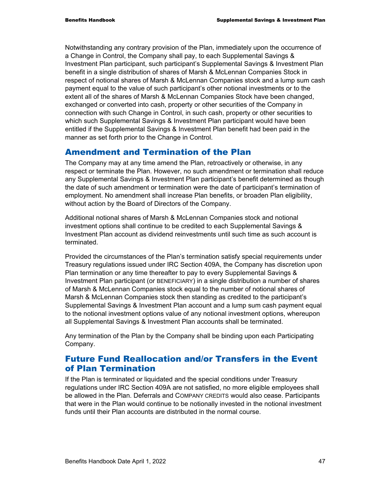Notwithstanding any contrary provision of the Plan, immediately upon the occurrence of a Change in Control, the Company shall pay, to each Supplemental Savings & Investment Plan participant, such participant's Supplemental Savings & Investment Plan benefit in a single distribution of shares of Marsh & McLennan Companies Stock in respect of notional shares of Marsh & McLennan Companies stock and a lump sum cash payment equal to the value of such participant's other notional investments or to the extent all of the shares of Marsh & McLennan Companies Stock have been changed, exchanged or converted into cash, property or other securities of the Company in connection with such Change in Control, in such cash, property or other securities to which such Supplemental Savings & Investment Plan participant would have been entitled if the Supplemental Savings & Investment Plan benefit had been paid in the manner as set forth prior to the Change in Control.

#### Amendment and Termination of the Plan

The Company may at any time amend the Plan, retroactively or otherwise, in any respect or terminate the Plan. However, no such amendment or termination shall reduce any Supplemental Savings & Investment Plan participant's benefit determined as though the date of such amendment or termination were the date of participant's termination of employment. No amendment shall increase Plan benefits, or broaden Plan eligibility, without action by the Board of Directors of the Company.

Additional notional shares of Marsh & McLennan Companies stock and notional investment options shall continue to be credited to each Supplemental Savings & Investment Plan account as dividend reinvestments until such time as such account is terminated.

Provided the circumstances of the Plan's termination satisfy special requirements under Treasury regulations issued under IRC Section 409A, the Company has discretion upon Plan termination or any time thereafter to pay to every Supplemental Savings & Investment Plan participant (or BENEFICIARY) in a single distribution a number of shares of Marsh & McLennan Companies stock equal to the number of notional shares of Marsh & McLennan Companies stock then standing as credited to the participant's Supplemental Savings & Investment Plan account and a lump sum cash payment equal to the notional investment options value of any notional investment options, whereupon all Supplemental Savings & Investment Plan accounts shall be terminated.

Any termination of the Plan by the Company shall be binding upon each Participating Company.

### Future Fund Reallocation and/or Transfers in the Event of Plan Termination

If the Plan is terminated or liquidated and the special conditions under Treasury regulations under IRC Section 409A are not satisfied, no more eligible employees shall be allowed in the Plan. Deferrals and COMPANY CREDITS would also cease. Participants that were in the Plan would continue to be notionally invested in the notional investment funds until their Plan accounts are distributed in the normal course.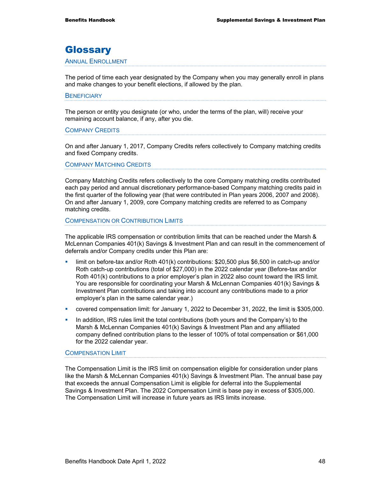## **Glossary**

#### ANNUAL ENROLLMENT

The period of time each year designated by the Company when you may generally enroll in plans and make changes to your benefit elections, if allowed by the plan.

#### **BENEFICIARY**

The person or entity you designate (or who, under the terms of the plan, will) receive your remaining account balance, if any, after you die.

#### COMPANY CREDITS

On and after January 1, 2017, Company Credits refers collectively to Company matching credits and fixed Company credits.

#### COMPANY MATCHING CREDITS

Company Matching Credits refers collectively to the core Company matching credits contributed each pay period and annual discretionary performance-based Company matching credits paid in the first quarter of the following year (that were contributed in Plan years 2006, 2007 and 2008). On and after January 1, 2009, core Company matching credits are referred to as Company matching credits.

#### COMPENSATION OR CONTRIBUTION LIMITS

The applicable IRS compensation or contribution limits that can be reached under the Marsh & McLennan Companies 401(k) Savings & Investment Plan and can result in the commencement of deferrals and/or Company credits under this Plan are:

- limit on before-tax and/or Roth 401(k) contributions: \$20,500 plus \$6,500 in catch-up and/or Roth catch-up contributions (total of \$27,000) in the 2022 calendar year (Before-tax and/or Roth 401(k) contributions to a prior employer's plan in 2022 also count toward the IRS limit. You are responsible for coordinating your Marsh & McLennan Companies 401(k) Savings & Investment Plan contributions and taking into account any contributions made to a prior employer's plan in the same calendar year.)
- covered compensation limit: for January 1, 2022 to December 31, 2022, the limit is \$305,000.
- **IF** In addition, IRS rules limit the total contributions (both yours and the Company's) to the Marsh & McLennan Companies 401(k) Savings & Investment Plan and any affiliated company defined contribution plans to the lesser of 100% of total compensation or \$61,000 for the 2022 calendar year.

#### COMPENSATION LIMIT

The Compensation Limit is the IRS limit on compensation eligible for consideration under plans like the Marsh & McLennan Companies 401(k) Savings & Investment Plan. The annual base pay that exceeds the annual Compensation Limit is eligible for deferral into the Supplemental Savings & Investment Plan. The 2022 Compensation Limit is base pay in excess of \$305,000. The Compensation Limit will increase in future years as IRS limits increase.